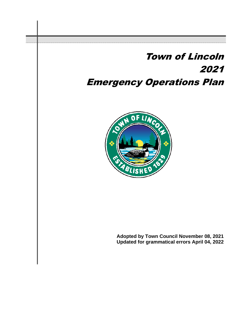# Town of Lincoln 2021 Emergency Operations Plan



**Adopted by Town Council November 08, 2021 Updated for grammatical errors April 04, 2022**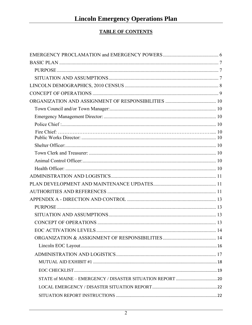## **TABLE OF CONTENTS**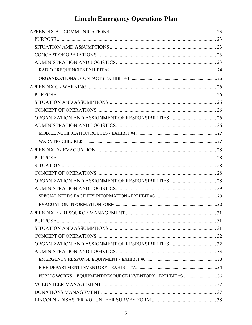| PUBLIC WORKS - EQUIPMENT/RESOURCE INVENTORY - EXHIBIT #8 36 |  |
|-------------------------------------------------------------|--|
|                                                             |  |
|                                                             |  |
|                                                             |  |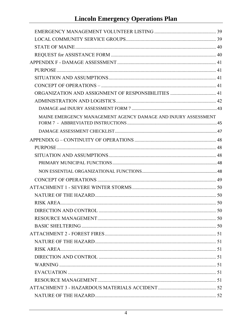| MAINE EMERGENCY MANAGEMENT AGENCY DAMAGE AND INJURY ASSESSMENT |  |
|----------------------------------------------------------------|--|
|                                                                |  |
|                                                                |  |
|                                                                |  |
|                                                                |  |
|                                                                |  |
|                                                                |  |
|                                                                |  |
|                                                                |  |
|                                                                |  |
|                                                                |  |
|                                                                |  |
|                                                                |  |
|                                                                |  |
|                                                                |  |
|                                                                |  |
|                                                                |  |
|                                                                |  |
|                                                                |  |
|                                                                |  |
|                                                                |  |
|                                                                |  |
|                                                                |  |
|                                                                |  |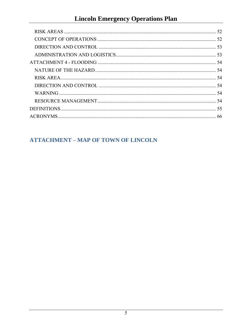## **ATTACHMENT – MAP OF TOWN OF LINCOLN**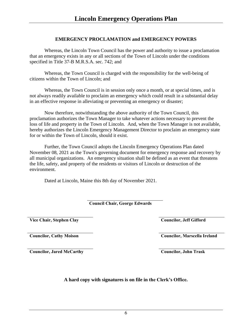6

## **EMERGENCY PROCLAMATION and EMERGENCY POWERS**

<span id="page-5-0"></span>Whereas, the Lincoln Town Council has the power and authority to issue a proclamation that an emergency exists in any or all sections of the Town of Lincoln under the conditions specified in Title 37-B M.R.S.A. sec. 742; and

Whereas, the Town Council is charged with the responsibility for the well-being of citizens within the Town of Lincoln; and

Whereas, the Town Council is in session only once a month, or at special times, and is not always readily available to proclaim an emergency which could result in a substantial delay in an effective response in alleviating or preventing an emergency or disaster;

Now therefore, notwithstanding the above authority of the Town Council, this proclamation authorizes the Town Manager to take whatever actions necessary to prevent the loss of life and property in the Town of Lincoln. And, when the Town Manager is not available, hereby authorizes the Lincoln Emergency Management Director to proclaim an emergency state for or within the Town of Lincoln, should it exist.

Further, the Town Council adopts the Lincoln Emergency Operations Plan dated November 08, 2021 as the Town's governing document for emergency response and recovery by all municipal organizations. An emergency situation shall be defined as an event that threatens the life, safety, and property of the residents or visitors of Lincoln or destruction of the environment.

Dated at Lincoln, Maine this 8th day of November 2021.

**Council Chair, George Edwards**

**Vice Chair, Stephen Clay Councilor, Jeff Gifford** 

**Councilor, Jared McCarthy Councilor, John Trask**

**Councilor, Cathy Moison Councilor, Marscella Ireland** 

**A hard copy with signatures is on file in the Clerk's Office.**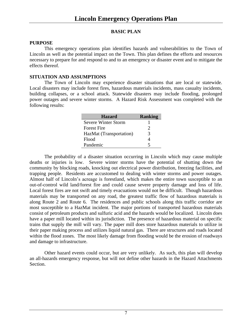## **BASIC PLAN**

#### <span id="page-6-1"></span><span id="page-6-0"></span>**PURPOSE**

This emergency operations plan identifies hazards and vulnerabilities to the Town of Lincoln as well as the potential impact on the Town. This plan defines the efforts and resources necessary to prepare for and respond to and to an emergency or disaster event and to mitigate the effects thereof.

#### <span id="page-6-2"></span>**SITUATION AND ASSUMPTIONS**

The Town of Lincoln may experience disaster situations that are local or statewide. Local disasters may include forest fires, hazardous materials incidents, mass casualty incidents, building collapses, or a school attack. Statewide disasters may include flooding, prolonged power outages and severe winter storms. A Hazard Risk Assessment was completed with the following results:

| <b>Hazard</b>           | <b>Ranking</b> |
|-------------------------|----------------|
| Severe Winter Storm     |                |
| <b>Forest Fire</b>      |                |
| HazMat (Transportation) | 3              |
| Flood                   |                |
| Pandemic                |                |

The probability of a disaster situation occurring in Lincoln which may cause multiple deaths or injuries is low. Severe winter storms have the potential of shutting down the community by blocking roads, knocking out electrical power distribution, freezing facilities, and trapping people. Residents are accustomed to dealing with winter storms and power outages. Almost half of Lincoln's acreage is forestland, which makes the entire town susceptible to an out-of-control wild land/forest fire and could cause severe property damage and loss of life. Local forest fires are not swift and timely evacuations would not be difficult. Though hazardous materials may be transported on any road, the greatest traffic flow of hazardous materials is along Route 2 and Route 6. The residences and public schools along this traffic corridor are most susceptible to a HazMat incident. The major portions of transported hazardous materials consist of petroleum products and sulfuric acid and the hazards would be localized. Lincoln does have a paper mill located within its jurisdiction. The presence of hazardous material on specific trains that supply the mill will vary. The paper mill does store hazardous materials to utilize in their paper making process and utilizes liquid natural gas. There are structures and roads located within the flood zones. The most likely damage from flooding would be the erosion of roadways and damage to infrastructure.

Other hazard events could occur, but are very unlikely. As such, this plan will develop an all-hazards emergency response, but will not define other hazards in the Hazard Attachments Section.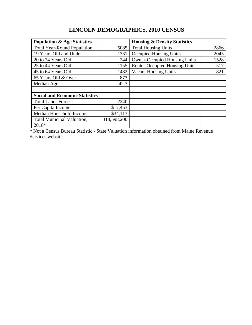<span id="page-7-0"></span>

| <b>LINCOLN DEMOGRAPHICS, 2010 CENSUS</b> |  |  |
|------------------------------------------|--|--|
|------------------------------------------|--|--|

| <b>Population &amp; Age Statistics</b> |             | <b>Housing &amp; Density Statistics</b> |      |
|----------------------------------------|-------------|-----------------------------------------|------|
| <b>Total Year-Round Population</b>     | 5085        | <b>Total Housing Units</b>              | 2866 |
| 19 Years Old and Under                 | 1331        | Occupied Housing Units                  | 2045 |
| 20 to 24 Years Old                     | 244         | <b>Owner-Occupied Housing Units</b>     | 1528 |
| 25 to 44 Years Old                     | 1155        | Renter-Occupied Housing Units           | 517  |
| 45 to 64 Years Old                     | 1482        | <b>Vacant Housing Units</b>             | 821  |
| 65 Years Old & Over                    | 873         |                                         |      |
| Median Age                             | 42.3        |                                         |      |
|                                        |             |                                         |      |
| <b>Social and Economic Statistics</b>  |             |                                         |      |
| <b>Total Labor Force</b>               | 2240        |                                         |      |
| Per Capita Income                      | \$17,453    |                                         |      |
| Median Household Income                | \$34,113    |                                         |      |
| <b>Total Municipal Valuation,</b>      | 318,598,200 |                                         |      |
| 2018*                                  |             |                                         |      |

\* Not a Census Bureau Statistic - State Valuation information obtained from Maine Revenue Services website.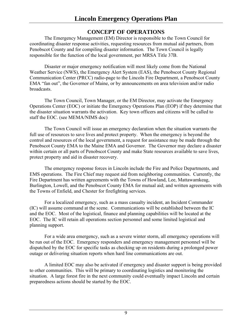## **CONCEPT OF OPERATIONS**

<span id="page-8-0"></span>The Emergency Management (EM) Director is responsible to the Town Council for coordinating disaster response activities, requesting resources from mutual aid partners, from Penobscot County and for compiling disaster information. The Town Council is legally responsible for the function of the local government, per MRSA Title 37B.

Disaster or major emergency notification will most likely come from the National Weather Service (NWS), the Emergency Alert System (EAS), the Penobscot County Regional Communication Center (PRCC) radio-page to the Lincoln Fire Department, a Penobscot County EMA "fan out", the Governor of Maine, or by announcements on area television and/or radio broadcasts.

The Town Council, Town Manager, or the EM Director, may activate the Emergency Operations Center (EOC) or initiate the Emergency Operations Plan (EOP) if they determine that the disaster situation warrants the activation. Key town officers and citizens will be called to staff the EOC. (see MEMA/NIMS doc)

The Town Council will issue an emergency declaration when the situation warrants the full use of resources to save lives and protect property. When the emergency is beyond the control and resources of the local government, a request for assistance may be made through the Penobscot County EMA to the Maine EMA and Governor. The Governor may declare a disaster within certain or all parts of Penobscot County and make State resources available to save lives, protect property and aid in disaster recovery.

The emergency response forces in Lincoln include the Fire and Police Departments, and EMS operations. The Fire Chief may request aid from neighboring communities. Currently, the Fire Department has written agreements with the Towns of Howland, Lee, Mattawamkeag, Burlington, Lowell, and the Penobscot County EMA for mutual aid; and written agreements with the Towns of Enfield, and Chester for firefighting services.

For a localized emergency, such as a mass casualty incident, an Incident Commander (IC) will assume command at the scene. Communications will be established between the IC and the EOC. Most of the logistical, finance and planning capabilities will be located at the EOC. The IC will retain all operations section personnel and some limited logistical and planning support.

For a wide area emergency, such as a severe winter storm, all emergency operations will be run out of the EOC. Emergency responders and emergency management personnel will be dispatched by the EOC for specific tasks as checking up on residents during a prolonged power outage or delivering situation reports when hard line communications are out.

A limited EOC may also be activated if emergency and disaster support is being provided to other communities. This will be primary to coordinating logistics and monitoring the situation. A large forest fire in the next community could eventually impact Lincoln and certain preparedness actions should be started by the EOC.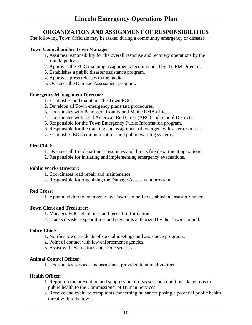## **ORGANIZATION AND ASSIGNMENT OF RESPONSIBILITIES**

<span id="page-9-0"></span>The following Town Officials may be tasked during a community emergency or disaster:

#### <span id="page-9-1"></span>**Town Council and/or Town Manager:**

- 1. Assumes responsibility for the overall response and recovery operations by the municipality.
- 2. Approves the EOC manning assignments recommended by the EM Director.
- 3. Establishes a public disaster assistance program.
- 4. Approves press releases to the media.
- 5. Oversees the Damage Assessment program.

#### <span id="page-9-2"></span>**Emergency Management Director:**

- 1. Establishes and maintains the Town EOC.
- 2. Develops all Town emergency plans and procedures.
- 3. Coordinates with Penobscot County and Maine EMA offices.
- 4. Coordinates with local American Red Cross (ARC) and School Districts.
- 5. Responsible for the Town Emergency Public Information program.
- 6. Responsible for the tracking and assignment of emergency/disaster resources.
- 7. Establishes EOC communications and public warning systems.

#### <span id="page-9-3"></span>**Fire Chief:**

- 1. Oversees all fire department resources and directs fire department operations.
- 2. Responsible for initiating and implementing emergency evacuations.

### <span id="page-9-4"></span>**Public Works Director:**

- 1. Coordinates road repair and maintenance.
- 2. Responsible for organizing the Damage Assessment program.

#### <span id="page-9-5"></span>**Red Cross:**

1. Appointed during emergency by Town Council to establish a Disaster Shelter.

### <span id="page-9-6"></span>**Town Clerk and Treasurer:**

- 1. Manages EOC telephones and records information.
- 2. Tracks disaster expenditures and pays bills authorized by the Town Council.

#### **Police Chief:**

- 1. Notifies town residents of special meetings and assistance programs.
- 2. Point of contact with law enforcement agencies.
- 3. Assist with evaluations and scene security

### <span id="page-9-7"></span>**Animal Control Officer:**

1. Coordinates services and assistance provided to animal victims.

### <span id="page-9-8"></span>**Health Officer:**

- 1. Report on the prevention and suppression of diseases and conditions dangerous to public health to the Commissioner of Human Services.
- 2. Receive and evaluate complaints concerning nuisances posing a potential public health threat within the town.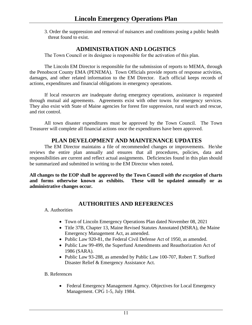3. Order the suppression and removal of nuisances and conditions posing a public health threat found to exist.

## **ADMINISTRATION AND LOGISTICS**

<span id="page-10-0"></span>The Town Council or its designee is responsible for the activation of this plan.

The Lincoln EM Director is responsible for the submission of reports to MEMA, through the Penobscot County EMA (PENEMA). Town Officials provide reports of response activities, damages, and other related information to the EM Director. Each official keeps records of actions, expenditures and financial obligations in emergency operations.

If local resources are inadequate during emergency operations, assistance is requested through mutual aid agreements. Agreements exist with other towns for emergency services. They also exist with State of Maine agencies for forest fire suppression, rural search and rescue, and riot control.

All town disaster expenditures must be approved by the Town Council. The Town Treasurer will complete all financial actions once the expenditures have been approved.

## <span id="page-10-1"></span>**PLAN DEVELOPMENT AND MAINTENANCE UPDATES**

The EM Director maintains a file of recommended changes or improvements. He/she reviews the entire plan annually and ensures that all procedures, policies, data and responsibilities are current and reflect actual assignments. Deficiencies found in this plan should be summarized and submitted in writing to the EM Director when noted**.** 

**All changes to the EOP shall be approved by the Town Council** *with the exception* **of charts and forms otherwise known as exhibits. These will be updated annually or as administrative changes occur.**

## **AUTHORITIES AND REFERENCES**

<span id="page-10-2"></span>A. Authorities

- Town of Lincoln Emergency Operations Plan dated November 08, 2021
- Title 37B, Chapter 13, Maine Revised Statutes Annotated (MSRA), the Maine Emergency Management Act, as amended.
- Public Law 920-81, the Federal Civil Defense Act of 1950, as amended.
- Public Law 99-499, the Superfund Amendments and Reauthorization Act of 1986 (SARA).
- Public Law 93-288, as amended by Public Law 100-707, Robert T. Stafford Disaster Relief & Emergency Assistance Act.

B. References

• Federal Emergency Management Agency. Objectives for Local Emergency Management. CPG 1-5, July 1984.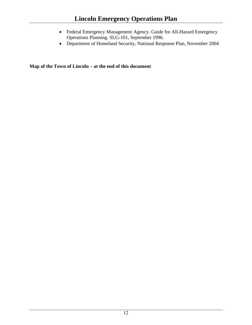- Federal Emergency Management Agency. Guide for All-Hazard Emergency Operations Planning. SLG-101, September 1996.
- Department of Homeland Security, National Response Plan, November 2004

**Map of the Town of Lincoln – at the end of this document**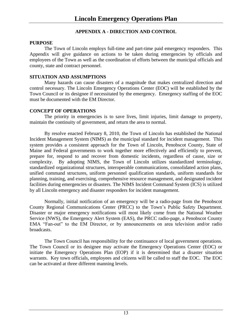### **APPENDIX A - DIRECTION AND CONTROL**

#### <span id="page-12-1"></span><span id="page-12-0"></span>**PURPOSE**

The Town of Lincoln employs full-time and part-time paid emergency responders. This Appendix will give guidance on actions to be taken during emergencies by officials and employees of the Town as well as the coordination of efforts between the municipal officials and county, state and contract personnel.

#### <span id="page-12-2"></span>**SITUATION AND ASSUMPTIONS**

Many hazards can cause disasters of a magnitude that makes centralized direction and control necessary. The Lincoln Emergency Operations Center (EOC) will be established by the Town Council or its designee if necessitated by the emergency. Emergency staffing of the EOC must be documented with the EM Director.

#### <span id="page-12-3"></span>**CONCEPT OF OPERATIONS**

The priority in emergencies is to save lives, limit injuries, limit damage to property, maintain the continuity of government, and return the area to normal.

By resolve enacted February 8, 2010, the Town of Lincoln has established the National Incident Management System (NIMS) as the municipal standard for incident management. This system provides a consistent approach for the Town of Lincoln, Penobscot County, State of Maine and Federal governments to work together more effectively and efficiently to prevent, prepare for, respond to and recover from domestic incidents, regardless of cause, size or complexity. By adopting NIMS, the Town of Lincoln utilizes standardized terminology, standardized organizational structures, interoperable communications, consolidated action plans, unified command structures, uniform personnel qualification standards, uniform standards for planning, training, and exercising, comprehensive resource management, and designated incident facilities during emergencies or disasters. The NIMS Incident Command System (ICS) is utilized by all Lincoln emergency and disaster responders for incident management.

Normally, initial notification of an emergency will be a radio-page from the Penobscot County Regional Communications Center (PRCC) to the Town's Public Safety Department. Disaster or major emergency notifications will most likely come from the National Weather Service (NWS), the Emergency Alert System (EAS), the PRCC radio-page, a Penobscot County EMA "Fan-out" to the EM Director, or by announcements on area television and/or radio broadcasts.

The Town Council has responsibility for the continuance of local government operations. The Town Council or its designee may activate the Emergency Operations Center (EOC) or initiate the Emergency Operations Plan (EOP) if it is determined that a disaster situation warrants. Key town officials, employees and citizens will be called to staff the EOC. The EOC can be activated at three different manning levels.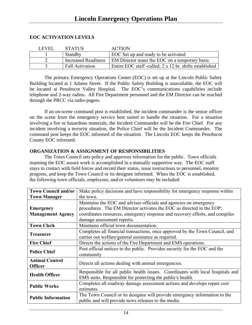| LEVEL | <b>STATUS</b>          | <b>ACTION</b>                                                       |
|-------|------------------------|---------------------------------------------------------------------|
|       | Standby                | EOC Set up and ready to be activated                                |
|       |                        | Increased Readiness   EM Director mans the EOC on a temporary basis |
|       | <b>Full Activation</b> | Entire EOC staff-called; 2 x 12 hr. shifts established              |

#### <span id="page-13-0"></span>**EOC ACTIVATION LEVELS**

The primary Emergency Operations Center (EOC) is set up at the Lincoln Public Safety Building located at 1 Adams Street. If the Public Safety Building is unavailable, the EOC will be located at Penobscot Valley Hospital. The EOC's communications capabilities include telephone and 2-way radios. All Fire Department personnel and the EM Director can be reached through the PRCC via radio-pagers.

If an on-scene command post is established, the incident commander is the senior officer on the scene from the emergency service best suited to handle the situation. For a situation involving a fire or hazardous materials, the Incident Commander will be the Fire Chief. For any incident involving a terrorist situation, the Police Chief will be the Incident Commander. The command post keeps the EOC informed of the situation. The Lincoln EOC keeps the Penobscot County EOC informed.

#### <span id="page-13-1"></span>**ORGANIZATION & ASSIGNMENT OF RESPONSIBILITIES**

The Town Council sets policy and approves information for the public. Town officials manning the EOC assure work is accomplished in a mutually supportive way. The EOC staff stays in contact with field forces and record their status, issue instructions to personnel, monitor progress, and keep the Town Council or its designee informed. When the EOC is established, the following town officials, employees, and/or volunteers may be included:

| <b>Town Council and/or</b> | Make policy decisions and have responsibility for emergency response within    |  |  |
|----------------------------|--------------------------------------------------------------------------------|--|--|
| <b>Town Manager</b>        | the town.                                                                      |  |  |
|                            | Maintains the EOC and advises officials and agencies on emergency              |  |  |
| <b>Emergency</b>           | procedures. The EM Director activates the EOC as directed in the EOP;          |  |  |
| <b>Management Agency</b>   | coordinates resources, emergency response and recovery efforts, and compiles   |  |  |
|                            | damage assessment reports.                                                     |  |  |
| <b>Town Clerk</b>          | Maintains official town documentation.                                         |  |  |
| <b>Treasurer</b>           | Completes all financial transactions, once approved by the Town Council, and   |  |  |
|                            | carries out welfare/general assistance as required.                            |  |  |
| <b>Fire Chief</b>          | Directs the actions of the Fire Department and EMS operations.                 |  |  |
| <b>Police Chief</b>        | Post official notices to the public. Provides security for the EOC and the     |  |  |
|                            | community                                                                      |  |  |
| <b>Animal Control</b>      | Directs all actions dealing with animal emergencies.                           |  |  |
| <b>Officer</b>             |                                                                                |  |  |
| <b>Health Officer</b>      | Responsible for all public health issues. Coordinates with local hospitals and |  |  |
|                            | EMS units. Responsible for protecting the public's health.                     |  |  |
| <b>Public Works</b>        | Completes all roadway damage assessment actions and develops repair cost       |  |  |
|                            | estimates.                                                                     |  |  |
| <b>Public Information</b>  | The Town Council or its designee will provide emergency information to the     |  |  |
|                            | public and will provide news releases to the media.                            |  |  |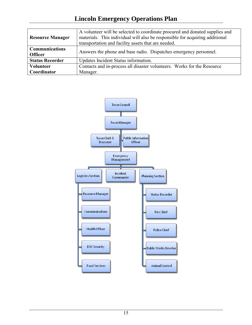| <b>Resource Manager</b>                 | A volunteer will be selected to coordinate procured and donated supplies and<br>materials. This individual will also be responsible for acquiring additional<br>transportation and facility assets that are needed. |  |  |
|-----------------------------------------|---------------------------------------------------------------------------------------------------------------------------------------------------------------------------------------------------------------------|--|--|
| <b>Communications</b><br><b>Officer</b> | Answers the phone and base radio. Dispatches emergency personnel.                                                                                                                                                   |  |  |
| <b>Status Recorder</b>                  | Updates Incident Status information.                                                                                                                                                                                |  |  |
| <b>Volunteer</b>                        | Contacts and in-process all disaster volunteers. Works for the Resource                                                                                                                                             |  |  |
| Coordinator                             | Manager.                                                                                                                                                                                                            |  |  |

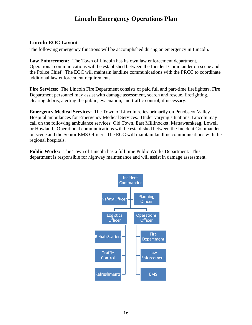## <span id="page-15-0"></span>**Lincoln EOC Layout**

The following emergency functions will be accomplished during an emergency in Lincoln.

**Law Enforcement:** The Town of Lincoln has its own law enforcement department*.* Operational communications will be established between the Incident Commander on scene and the Police Chief. The EOC will maintain landline communications with the PRCC to coordinate additional law enforcement requirements.

**Fire Services**: The Lincoln Fire Department consists of paid full and part-time firefighters. Fire Department personnel may assist with damage assessment, search and rescue, firefighting, clearing debris, alerting the public, evacuation, and traffic control, if necessary.

**Emergency Medical Services:** The Town of Lincoln relies primarily on Penobscot Valley Hospital ambulances for Emergency Medical Services. Under varying situations, Lincoln may call on the following ambulance services: Old Town, East Millinocket, Mattawamkeag, Lowell or Howland. Operational communications will be established between the Incident Commander on scene and the Senior EMS Officer. The EOC will maintain landline communications with the regional hospitals.

**Public Works:** The Town of Lincoln has a full time Public Works Department. This department is responsible for highway maintenance and will assist in damage assessment**.**

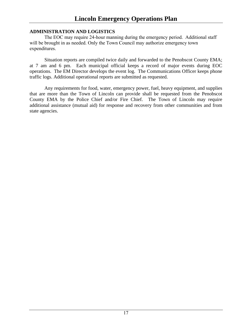#### <span id="page-16-0"></span>**ADMINISTRATION AND LOGISTICS**

The EOC may require 24-hour manning during the emergency period. Additional staff will be brought in as needed. Only the Town Council may authorize emergency town expenditures.

Situation reports are compiled twice daily and forwarded to the Penobscot County EMA; at 7 am and 6 pm. Each municipal official keeps a record of major events during EOC operations. The EM Director develops the event log. The Communications Officer keeps phone traffic logs. Additional operational reports are submitted as requested.

Any requirements for food, water, emergency power, fuel, heavy equipment, and supplies that are more than the Town of Lincoln can provide shall be requested from the Penobscot County EMA by the Police Chief and/or Fire Chief. The Town of Lincoln may require additional assistance (mutual aid) for response and recovery from other communities and from state agencies.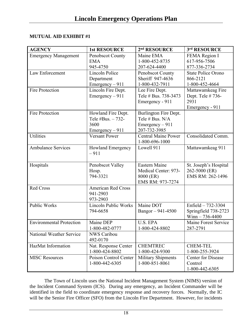#### <span id="page-17-0"></span>**MUTUAL AID EXHIBIT #1**

| <b>AGENCY</b>                   | <b>1st RESOURCE</b>         | 2 <sup>nd</sup> RESOURCE   | 3rd RESOURCE              |
|---------------------------------|-----------------------------|----------------------------|---------------------------|
| <b>Emergency Management</b>     | Penobscot County            | Maine EMA                  | FEMA Region I             |
|                                 | <b>EMA</b>                  | 1-800-452-8735             | 617-956-7506              |
|                                 | 945-4750                    | 207-624-4400               | 877-336-2734              |
| Law Enforcement                 | <b>Lincoln Police</b>       | Penobscot County           | <b>State Police Orono</b> |
|                                 | Department                  | Sheriff 947-4636           | 866-2121                  |
|                                 | $Energy-911$                | 1-800-432-7911             | 1-800-452-4664            |
| <b>Fire Protection</b>          | Lincoln Fire Dept.          | Lee Fire Dept.             | Mattawamkeag Fire         |
|                                 | Emergency $-911$            | Tele # Bus. 738-3473       | Dept. Tele # 736-         |
|                                 |                             | Emergency - 911            | 2931                      |
|                                 |                             |                            | Emergency - 911           |
| <b>Fire Protection</b>          | Howland Fire Dept.          | Burlington Fire Dept.      |                           |
|                                 | Tele #Bus. $-732$ -         | Tele # Bus. $N/A$          |                           |
|                                 | 3600                        | $Emergency - 911$          |                           |
|                                 | Emergency-911               | 207-732-3985               |                           |
| <b>Utilities</b>                | <b>Versant Power</b>        | <b>Central Maine Power</b> | Consolidated Comm.        |
|                                 |                             | 1-800-696-1000             |                           |
| <b>Ambulance Services</b>       | <b>Howland Emergency</b>    | Lowell 911                 | Mattawamkeag 911          |
|                                 | $-911$                      |                            |                           |
|                                 |                             |                            |                           |
| Hospitals                       | Penobscot Valley            | <b>Eastern Maine</b>       | St. Joseph's Hospital     |
|                                 | Hosp.                       | Medical Center: 973-       | 262-5000 (ER)             |
|                                 | 794-3321                    | 8000 (ER)                  | EMS RM: 262-1496          |
|                                 |                             | EMS RM: 973-7274           |                           |
| <b>Red Cross</b>                | <b>American Red Cross</b>   |                            |                           |
|                                 | 941-2903                    |                            |                           |
|                                 | 973-2903                    |                            |                           |
| Public Works                    | <b>Lincoln Public Works</b> | Maine DOT                  | Enfield $-732-3304$       |
|                                 | 794-6658                    | Bangor - 941-4500          | Springfield 738-2723      |
|                                 |                             |                            | $Winn - 736-4400$         |
| <b>Environmental Protection</b> | Maine DEP                   | U.S. EPA                   | Maine Forest Service      |
|                                 | 1-800-482-0777              | 1-800-424-8802             | 287-2791                  |
| National Weather Service        | NWS Caribou                 |                            |                           |
|                                 | 492-0170                    |                            |                           |
| HazMat Information              | Nat. Response Center        | <b>CHEMTREC</b>            | <b>CHEM-TEL</b>           |
|                                 | 1-800-424-8802              | 1-800-424-9300             | 1-800-255-3924            |
| <b>MISC Resources</b>           | Poison Control Center       | <b>Military Shipments</b>  | <b>Center for Disease</b> |
|                                 | 1-800-442-6305              | 1-800-851-8061             | Control                   |
|                                 |                             |                            | 1-800-442-6305            |

The Town of Lincoln uses the National Incident Management System (NIMS) version of the Incident Command System (ICS). During any emergency, an Incident Commander will be identified in the field to coordinate emergency response and recovery forces. Normally, the IC will be the Senior Fire Officer (SFO) from the Lincoln Fire Department. However, for incidents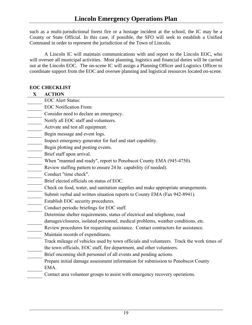such as a multi-jurisdictional forest fire or a hostage incident at the school, the IC may be a County or State Official. In this case, if possible, the SFO will seek to establish a Unified Command in order to represent the jurisdiction of the Town of Lincoln*.*

A Lincoln IC will maintain communications with and report to the Lincoln EOC, who will oversee all municipal activities. Most planning, logistics and financial duties will be carried out at the Lincoln EOC. The on-scene IC will assign a Planning Officer and Logistics Officer to coordinate support from the EOC and oversee planning and logistical resources located on-scene.

#### <span id="page-18-0"></span>**EOC CHECKLIST**

| $\mathbf X$ | <b>ACTION</b>                                                                            |
|-------------|------------------------------------------------------------------------------------------|
|             | <b>EOC Alert Status:</b>                                                                 |
|             | <b>EOC</b> Notification From:                                                            |
|             | Consider need to declare an emergency.                                                   |
|             | Notify all EOC staff and volunteers.                                                     |
|             | Activate and test all equipment.                                                         |
|             | Begin message and event logs.                                                            |
|             | Inspect emergency generator for fuel and start capability.                               |
|             | Begin plotting and posting events.                                                       |
|             | Brief staff upon arrival.                                                                |
|             | When "manned and ready", report to Penobscot County EMA (945-4750).                      |
|             | Review staffing pattern to ensure 24 hr. capability (if needed).                         |
|             | Conduct "time check".                                                                    |
|             | Brief elected officials on status of EOC.                                                |
|             | Check on food, water, and sanitation supplies and make appropriate arrangements.         |
|             | Submit verbal and written situation reports to County EMA (Fax 942-8941).                |
|             | Establish EOC security procedures.                                                       |
|             | Conduct periodic briefings for EOC staff.                                                |
|             | Determine shelter requirements, status of electrical and telephone, road                 |
|             | damages/closures, isolated personnel, medical problems, weather conditions, etc.         |
|             | Review procedures for requesting assistance. Contact contractors for assistance.         |
|             | Maintain records of expenditures.                                                        |
|             | Track mileage of vehicles used by town officials and volunteers. Track the work times of |
|             | the town officials, EOC staff, fire department, and other volunteers.                    |
|             | Brief oncoming shift personnel of all events and pending actions.                        |
|             | Prepare initial damage assessment information for submission to Penobscot County         |
|             | EMA.                                                                                     |
|             | Contact area volunteer groups to assist with emergency recovery operations.              |
|             |                                                                                          |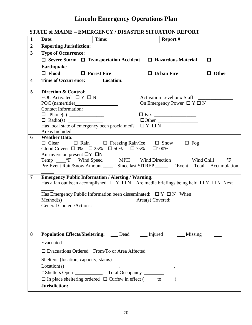## <span id="page-19-0"></span>**STATE of MAINE – EMERGENCY / DISASTER SITUATION REPORT**

| $\mathbf{1}$            | Date:                                                                                                                                                                   | Time: |  | Report #                           |              |  |  |
|-------------------------|-------------------------------------------------------------------------------------------------------------------------------------------------------------------------|-------|--|------------------------------------|--------------|--|--|
| $\overline{2}$          | <b>Reporting Jurisdiction:</b>                                                                                                                                          |       |  |                                    |              |  |  |
| $\mathbf{3}$            | <b>Type of Occurrence:</b>                                                                                                                                              |       |  |                                    |              |  |  |
|                         | $\Box$ Severe Storm $\Box$ Transportation Accident $\Box$ Hazardous Material                                                                                            |       |  |                                    | □            |  |  |
|                         | <b>Earthquake</b>                                                                                                                                                       |       |  |                                    |              |  |  |
|                         | $\Box$ Flood $\Box$ Forest Fire                                                                                                                                         |       |  | $\Box$ Urban Fire                  | $\Box$ Other |  |  |
| $\overline{\mathbf{4}}$ | Time of Occurrence:   Location:                                                                                                                                         |       |  |                                    |              |  |  |
| 5                       | <b>Direction &amp; Control:</b>                                                                                                                                         |       |  |                                    |              |  |  |
|                         | EOC Activated $\Box Y \Box N$                                                                                                                                           |       |  | Activation Level or # Staff        |              |  |  |
|                         | <b>Contact Information:</b>                                                                                                                                             |       |  | On Emergency Power $\Box Y \Box N$ |              |  |  |
|                         |                                                                                                                                                                         |       |  |                                    |              |  |  |
|                         |                                                                                                                                                                         |       |  |                                    |              |  |  |
|                         | Has local state of emergency been proclaimed? $\square Y \square N$                                                                                                     |       |  |                                    |              |  |  |
|                         | Areas Included:                                                                                                                                                         |       |  |                                    |              |  |  |
| 6                       | <b>Weather Data:</b>                                                                                                                                                    |       |  |                                    |              |  |  |
|                         | $\Box$ Clear $\Box$ Rain $\Box$ Freezing Rain/Ice $\Box$ Snow $\Box$ Fog                                                                                                |       |  |                                    |              |  |  |
|                         | Cloud Cover: $\Box$ 0% $\Box$ 25% $\Box$ 50% $\Box$ 75% $\Box$ 100%                                                                                                     |       |  |                                    |              |  |  |
|                         | Air inversion present $\Box Y$ $\Box N$                                                                                                                                 |       |  |                                    |              |  |  |
|                         | Temp <sup>o</sup> F Wind Speed MPH Wind Direction Wind Chill <sup>oF</sup><br>Pre-Event Rain/Snow Amount ______ "Since last SITREP __________ "Event Total Accumulation |       |  |                                    |              |  |  |
|                         |                                                                                                                                                                         |       |  |                                    |              |  |  |
| $\overline{7}$          | <b>Emergency Public Information / Alerting / Warning:</b>                                                                                                               |       |  |                                    |              |  |  |
|                         | Has a fan out been accomplished $\Box Y \Box N$ Are media briefings being held $\Box Y \Box N$ Next                                                                     |       |  |                                    |              |  |  |
|                         |                                                                                                                                                                         |       |  |                                    |              |  |  |
|                         |                                                                                                                                                                         |       |  |                                    |              |  |  |
|                         | <b>General Content/Actions:</b>                                                                                                                                         |       |  |                                    |              |  |  |
|                         |                                                                                                                                                                         |       |  |                                    |              |  |  |
|                         |                                                                                                                                                                         |       |  |                                    |              |  |  |
|                         |                                                                                                                                                                         |       |  |                                    |              |  |  |
| 8                       | <b>Population Effects/Sheltering:</b> ___ Dead ____ Injured ____ Missing                                                                                                |       |  |                                    |              |  |  |
|                         | Evacuated                                                                                                                                                               |       |  |                                    |              |  |  |
|                         | □ Evacuations Ordered From/To or Area Affected                                                                                                                          |       |  |                                    |              |  |  |
|                         |                                                                                                                                                                         |       |  |                                    |              |  |  |
|                         | Shelters: (location, capacity, status)                                                                                                                                  |       |  |                                    |              |  |  |
|                         |                                                                                                                                                                         |       |  |                                    |              |  |  |
|                         |                                                                                                                                                                         |       |  |                                    |              |  |  |
|                         | $\square$ In place sheltering ordered $\square$ Curfew in effect ( to )                                                                                                 |       |  |                                    |              |  |  |
|                         | Jurisdiction:                                                                                                                                                           |       |  |                                    |              |  |  |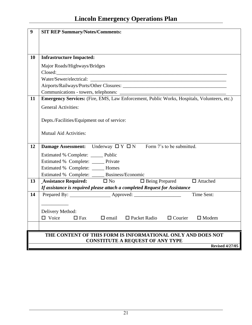| 9  | <b>SIT REP Summary/Notes/Comments:</b>                                                                 |  |  |  |  |  |  |
|----|--------------------------------------------------------------------------------------------------------|--|--|--|--|--|--|
|    |                                                                                                        |  |  |  |  |  |  |
|    |                                                                                                        |  |  |  |  |  |  |
|    |                                                                                                        |  |  |  |  |  |  |
| 10 | <b>Infrastructure Impacted:</b>                                                                        |  |  |  |  |  |  |
|    | Major Roads/Highways/Bridges                                                                           |  |  |  |  |  |  |
|    | Closed:                                                                                                |  |  |  |  |  |  |
|    |                                                                                                        |  |  |  |  |  |  |
|    |                                                                                                        |  |  |  |  |  |  |
|    |                                                                                                        |  |  |  |  |  |  |
| 11 | Emergency Services: (Fire, EMS, Law Enforcement, Public Works, Hospitals, Volunteers, etc.)            |  |  |  |  |  |  |
|    | <b>General Activities:</b>                                                                             |  |  |  |  |  |  |
|    |                                                                                                        |  |  |  |  |  |  |
|    | Depts./Facilities/Equipment out of service:                                                            |  |  |  |  |  |  |
|    |                                                                                                        |  |  |  |  |  |  |
|    | <b>Mutual Aid Activities:</b>                                                                          |  |  |  |  |  |  |
|    |                                                                                                        |  |  |  |  |  |  |
| 12 | <b>Damage Assessment:</b> Underway $\Box Y \Box N$<br>Form 7's to be submitted.                        |  |  |  |  |  |  |
|    | Estimated % Complete: ______ Public                                                                    |  |  |  |  |  |  |
|    | Estimated % Complete: _____ Private                                                                    |  |  |  |  |  |  |
|    | Estimated % Complete: _____ Homes                                                                      |  |  |  |  |  |  |
|    | Estimated % Complete: _____ Business/Economic                                                          |  |  |  |  |  |  |
| 13 | Assistance Required: $\square$ No<br>$\Box$ Being Prepared<br>$\Box$ Attached                          |  |  |  |  |  |  |
|    | If assistance is required please attach a completed Request for Assistance                             |  |  |  |  |  |  |
|    |                                                                                                        |  |  |  |  |  |  |
| 14 | Prepared By: <u>Approved:</u><br>Time Sent:                                                            |  |  |  |  |  |  |
|    |                                                                                                        |  |  |  |  |  |  |
|    |                                                                                                        |  |  |  |  |  |  |
|    | Delivery Method:                                                                                       |  |  |  |  |  |  |
|    | $\Box$ Voice<br>$\Box$ email<br>$\Box$ Packet Radio<br>$\Box$ Courier<br>$\Box$ Modem<br>$\Box$ Fax    |  |  |  |  |  |  |
|    |                                                                                                        |  |  |  |  |  |  |
|    | THE CONTENT OF THIS FORM IS INFORMATIONAL ONLY AND DOES NOT<br><b>CONSTITUTE A REQUEST OF ANY TYPE</b> |  |  |  |  |  |  |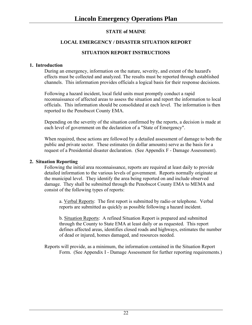## **STATE of MAINE**

## **LOCAL EMERGENCY / DISASTER SITUATION REPORT**

## **SITUATION REPORT INSTRUCTIONS**

#### <span id="page-21-1"></span><span id="page-21-0"></span>**1. Introduction**

During an emergency, information on the nature, severity, and extent of the hazard's effects must be collected and analyzed. The results must be reported through established channels. This information provides officials a logical basis for their response decisions.

Following a hazard incident, local field units must promptly conduct a rapid reconnaissance of affected areas to assess the situation and report the information to local officials. This information should be consolidated at each level. The information is then reported to the Penobscot County EMA.

Depending on the severity of the situation confirmed by the reports, a decision is made at each level of government on the declaration of a "State of Emergency".

When required, these actions are followed by a detailed assessment of damage to both the public and private sector. These estimates (in dollar amounts) serve as the basis for a request of a Presidential disaster declaration. (See Appendix F - Damage Assessment).

#### **2. Situation Reporting**

Following the initial area reconnaissance, reports are required at least daily to provide detailed information to the various levels of government. Reports normally originate at the municipal level. They identify the area being reported on and include observed damage. They shall be submitted through the Penobscot County EMA to MEMA and consist of the following types of reports:

a. Verbal Reports: The first report is submitted by radio or telephone. Verbal reports are submitted as quickly as possible following a hazard incident.

b. Situation Reports: A refined Situation Report is prepared and submitted through the County to State EMA at least daily or as requested. This report defines affected areas, identifies closed roads and highways, estimates the number of dead or injured, homes damaged, and resources needed.

Reports will provide, as a minimum, the information contained in the Situation Report Form. (See Appendix I - Damage Assessment for further reporting requirements.)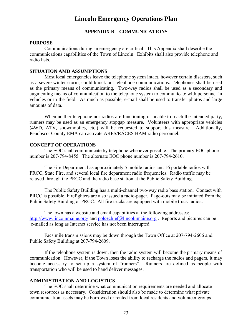#### **APPENDIX B – COMMUNICATIONS**

#### <span id="page-22-1"></span><span id="page-22-0"></span>**PURPOSE**

Communications during an emergency are critical. This Appendix shall describe the communications capabilities of the Town of Lincoln. Exhibits shall also provide telephone and radio lists.

#### <span id="page-22-2"></span>**SITUATION AMD ASSUMPTIONS**

Most local emergencies leave the telephone system intact, however certain disasters, such as a severe winter storm, could knock out telephone communications. Telephones shall be used as the primary means of communicating. Two-way radios shall be used as a secondary and augmenting means of communication to the telephone system to communicate with personnel in vehicles or in the field. As much as possible, e-mail shall be used to transfer photos and large amounts of data.

When neither telephone nor radios are functioning or unable to reach the intended party, runners may be used as an emergency stopgap measure. Volunteers with appropriate vehicles (4WD, ATV, snowmobiles, etc.) will be requested to support this measure. Additionally, Penobscot County EMA can activate ARES/RACES HAM radio personnel.

#### <span id="page-22-3"></span>**CONCEPT OF OPERATIONS**

The EOC shall communicate by telephone whenever possible. The primary EOC phone number is 207-794-8455. The alternate EOC phone number is 207-794-2610.

The Fire Department has approximately 5 mobile radios and 16 portable radios with PRCC, State Fire, and several local fire department radio frequencies. Radio traffic may be relayed through the PRCC and the radio base station at the Public Safety Building.

The Public Safety Building has a multi-channel two-way radio base station. Contact with PRCC is possible. Firefighters are also issued a radio-pager. Page-outs may be initiated from the Public Safety Building or PRCC. All fire trucks are equipped with mobile truck radios**.** 

The town has a website and email capabilities at the following addresses: <http://www.lincolnmaine.org/> and [polcechief@lincolnmaine.org](mailto:polcechief@lincolnmaine.org) . Reports and pictures can be e-mailed as long as Internet service has not been interrupted.

Facsimile transmissions may be down through the Town Office at 207-794-2606 and Public Safety Building at 207-794-2609.

If the telephone system is down, then the radio system will become the primary means of communication. However, if the Town loses the ability to recharge the radios and pagers, it may become necessary to set up a system of "runners". Runners are defined as people with transportation who will be used to hand deliver messages.

#### <span id="page-22-4"></span>**ADMINISTRATION AND LOGISTICS**

The EOC shall determine what communication requirements are needed and allocate town resources as necessary. Consideration should also be made to determine what private communication assets may be borrowed or rented from local residents and volunteer groups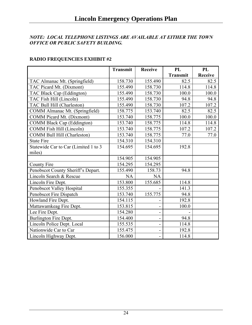## *NOTE: LOCAL TELEPHONE LISTINGS ARE AVAILABLE AT EITHER THE TOWN OFFICE OR PUBLIC SAFETY BUILDING.*

## <span id="page-23-0"></span>**RADIO FREQUENCIES EXHIBIT #2**

|                                      | <b>Transmit</b> | <b>Receive</b> | PL              | PL             |
|--------------------------------------|-----------------|----------------|-----------------|----------------|
|                                      |                 |                | <b>Transmit</b> | <b>Receive</b> |
| TAC Almanac Mt. (Springfield)        | 158.730         | 155.490        | 82.5            | 82.5           |
| TAC Picard Mt. (Dixmont)             | 155.490         | 158.730        | 114.8           | 114.8          |
| TAC Black Cap (Eddington)            | 155.490         | 158.730        | 100.0           | 100.0          |
| TAC Fish Hill (Lincoln)              | 155.490         | 158.730        | 94.8            | 94.8           |
| TAC Bull Hill (Charleston)           | 155.490         | 158.730        | 107.2           | 107.2          |
| COMM Almanac Mt. (Springfield)       | 158.775         | 153.740        | 82.5            | 82.5           |
| <b>COMM Picard Mt. (Dixmont)</b>     | 153.740         | 158.775        | 100.0           | 100.0          |
| <b>COMM Black Cap (Eddington)</b>    | 153.740         | 158.775        | 114.8           | 114.8          |
| COMM Fish Hill (Lincoln)             | 153.740         | 158.775        | 107.2           | 107.2          |
| <b>COMM Bull Hill (Charleston)</b>   | 153.740         | 158.775        | 77.0            | 77.0           |
| <b>State Fire</b>                    | 154.310         | 154.310        |                 |                |
| Statewide Car to Car (Limited 1 to 3 | 154.695         | 154.695        | 192.8           |                |
| miles)                               |                 |                |                 |                |
|                                      | 154.905         | 154.905        |                 |                |
| <b>County Fire</b>                   | 154.295         | 154.295        |                 |                |
| Penobscot County Sheriff's Depart.   | 155.490         | 158.73         | 94.8            |                |
| Lincoln Search & Rescue              | <b>NA</b>       | <b>NA</b>      |                 |                |
| Lincoln Fire Dept.                   | 153.800         | 155.685        | 114.8           |                |
| Penobscot Valley Hospital            | 155.355         |                | 141.3           |                |
| Penobscot Fire Dispatch              | 153.740         | 155.775        | 94.8            |                |
| Howland Fire Dept.                   | 154.115         |                | 192.8           |                |
| Mattawamkeag Fire Dept.              | 153.815         |                | 100.0           |                |
| Lee Fire Dept.                       | 154.280         |                |                 |                |
| Burlington Fire Dept.                | 154.400         |                | 94.8            |                |
| Lincoln Police Dept. Local           | 155.535         | ÷.             | 114.8           |                |
| Nationwide Car to Car                | 155.475         |                | 192.8           |                |
| Lincoln Highway Dept.                | 156.000         |                | 114.8           |                |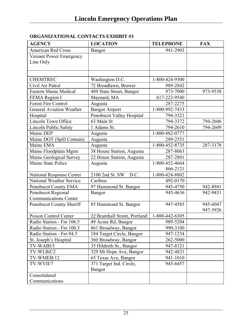| <b>LOCATION</b><br><b>AGENCY</b> |                              | <b>TELEPHONE</b>       | <b>FAX</b> |
|----------------------------------|------------------------------|------------------------|------------|
| <b>American Red Cross</b>        | Bangor                       | 941-2903               |            |
| <b>Versant Power Emergency</b>   |                              |                        |            |
| Line Only                        |                              |                        |            |
|                                  |                              |                        |            |
|                                  |                              |                        |            |
| <b>CHEMTREC</b>                  | Washington D.C.              | 1-800-424-9300         |            |
| Civil Air Patrol                 | 72 Broadlawn, Brewer         | 989-2842               |            |
| <b>Eastern Maine Medical</b>     | 489 State Street, Bangor     | 973-7000               | 973-9538   |
| FEMA Region I                    | Maynard, MA                  | 617-223-9540           |            |
| <b>Forest Fire Control</b>       | Augusta                      | 287-2275               |            |
| <b>General Aviation Weather</b>  | <b>Bangor Airport</b>        | 1-800-992-7433         |            |
| Hospital                         | Penobscot Valley Hospital    | 794-3321               |            |
| Lincoln Town Office              | 63 Main St                   | 794-3372               | 794-2606   |
| Lincoln Public Safety            | 1 Adams St.                  | 794-2610               | 794-2609   |
| Maine DEP                        | Augusta                      | 1-800-482-0777         |            |
| Maine DOT (Spill Contain)        | Augusta                      | 289-2551               |            |
| Maine EMA                        | Augusta                      | 1-800-452-8735         | 287-3178   |
| Maine Floodplain Mgmt            | 38 House Station, Augusta    | 287-8063               |            |
| Maine Geological Survey          | 22 House Station, Augusta    | 287-2801               |            |
| Maine State Police               | Augusta                      | 1-800-452-4664         |            |
|                                  |                              | 866-2121               |            |
| National Response Center         | 2100 2nd St. SW<br>D.C.      | $1 - 800 - 424 - 8802$ |            |
| National Weather Service         | Caribou                      | 492-0170               |            |
| Penobscot County EMA             | 97 Hammond St. Bangor        | 945-4750               | 942-8941   |
| Penobscot Regional               | Bangor                       | 945-4636               | 942-9431   |
| <b>Communications Center</b>     |                              |                        |            |
| Penobscot County Sheriff         | 85 Hammond St. Bangor        | 947-4585               | 945-6047   |
|                                  |                              |                        | 947-5926   |
| Poison Control Center            | 22 Bramhall Street, Portland | 1-800-442-6305         |            |
| Radio Station - Fm 106.5         | 49 Acme Rd, Bangor           | 989-5204               |            |
| Radio Station - Fm 100.3         | 861 Broadway, Bangor         | 990-3100               |            |
| Radio Station - Fm 94.5          | 184 Target Circle, Bangor    | 947-1234               |            |
| St. Joseph's Hospital            | 360 Broadway, Bangor         | 262-5000               |            |
| TV-WABI/5                        | 35 Hildreth St., Bangor      | 947-8321               |            |
| TV-WLBZ/2                        | 329 Mt Hope Ave, Bangor      | 942-4821               |            |
| TV-WMEB/12                       | 65 Texas Ave, Bangor         | 941-1010               |            |
| TV-WVII/7                        | 371 Target Ind. Circle,      | 945-6457               |            |
|                                  | Bangor                       |                        |            |
| Consolidated                     |                              |                        |            |
| Communications                   |                              |                        |            |

## <span id="page-24-0"></span>**ORGANIZATIONAL CONTACTS EXHIBIT #3**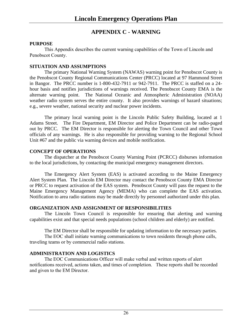## **APPENDIX C - WARNING**

#### <span id="page-25-1"></span><span id="page-25-0"></span>**PURPOSE**

This Appendix describes the current warning capabilities of the Town of Lincoln and Penobscot County.

#### <span id="page-25-2"></span>**SITUATION AND ASSUMPTIONS**

The primary National Warning System (NAWAS) warning point for Penobscot County is the Penobscot County Regional Communications Center (PRCC) located at 97 Hammond Street in Bangor. The PRCC number is 1-800-432-7911 or 942-7911. The PRCC is staffed on a 24 hour basis and notifies jurisdictions of warnings received. The Penobscot County EMA is the alternate warning point. The National Oceanic and Atmospheric Administration (NOAA) weather radio system serves the entire county. It also provides warnings of hazard situations; e.g., severe weather, national security and nuclear power incidents.

The primary local warning point is the Lincoln Public Safety Building, located at 1 Adams Street. The Fire Department, EM Director and Police Department can be radio-paged out by PRCC. The EM Director is responsible for alerting the Town Council and other Town officials of any warnings. He is also responsible for providing warning to the Regional School Unit #67 and the public via warning devices and mobile notification.

#### <span id="page-25-3"></span>**CONCEPT OF OPERATIONS**

The dispatcher at the Penobscot County Warning Point (PCRCC) disburses information to the local jurisdictions, by contacting the municipal emergency management directors.

The Emergency Alert System (EAS) is activated according to the Maine Emergency Alert System Plan. The Lincoln EM Director may contact the Penobscot County EMA Director or PRCC to request activation of the EAS system. Penobscot County will pass the request to the Maine Emergency Management Agency (MEMA) who can complete the EAS activation. Notification to area radio stations may be made directly by personnel authorized under this plan.

### <span id="page-25-4"></span>**ORGANIZATION AND ASSIGNMENT OF RESPONSIBILITIES**

The Lincoln Town Council is responsible for ensuring that alerting and warning capabilities exist and that special needs populations (school children and elderly) are notified.

The EM Director shall be responsible for updating information to the necessary parties.

The EOC shall initiate warning communications to town residents through phone calls, traveling teams or by commercial radio stations.

### <span id="page-25-5"></span>**ADMINISTRATION AND LOGISTICS**

The EOC Communications Officer will make verbal and written reports of alert notifications received, actions taken, and times of completion. These reports shall be recorded and given to the EM Director.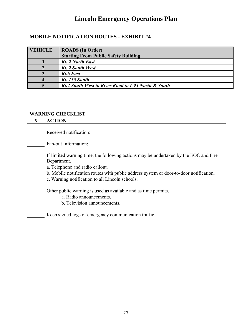## <span id="page-26-0"></span>**MOBILE NOTIFICATION ROUTES - EXHIBIT #4**

| <b>VEHICLE</b> | <b>ROADS</b> (In Order)                             |
|----------------|-----------------------------------------------------|
|                | <b>Starting From Public Safety Building</b>         |
|                | Rt. 2 North East                                    |
|                | Rt. 2 South West                                    |
|                | Rt.6 East                                           |
|                | Rt. 155 South                                       |
|                | Rt.2 South West to River Road to I-95 North & South |

## <span id="page-26-1"></span>**WARNING CHECKLIST**

| <b>ACTION</b>                                                                                                             |
|---------------------------------------------------------------------------------------------------------------------------|
| Received notification:                                                                                                    |
| Fan-out Information:                                                                                                      |
| If limited warning time, the following actions may be undertaken by the EOC and Fire<br>Department.                       |
| a. Telephone and radio callout.                                                                                           |
| b. Mobile notification routes with public address system or door-to-door notification.                                    |
| c. Warning notification to all Lincoln schools.                                                                           |
| Other public warning is used as available and as time permits.<br>a. Radio announcements.<br>b. Television announcements. |
| Keep signed logs of emergency communication traffic.                                                                      |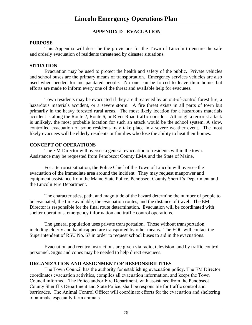### <span id="page-27-0"></span>**APPENDIX D - EVACUATION**

#### <span id="page-27-1"></span>**PURPOSE**

This Appendix will describe the provisions for the Town of Lincoln to ensure the safe and orderly evacuation of residents threatened by disaster situations.

#### <span id="page-27-2"></span>**SITUATION**

Evacuation may be used to protect the health and safety of the public. Private vehicles and school buses are the primary means of transportation. Emergency services vehicles are also used when needed for incapacitated people. No one can be forced to leave their home, but efforts are made to inform every one of the threat and available help for evacuees.

Town residents may be evacuated if they are threatened by an out-of-control forest fire, a hazardous materials accident, or a severe storm. A fire threat exists in all parts of town but primarily in the heavy forested rural areas. The most likely location for a hazardous materials accident is along the Route 2, Route 6, or River Road traffic corridor. Although a terrorist attack is unlikely, the most probable location for such an attack would be the school system. A slow, controlled evacuation of some residents may take place in a severe weather event. The most likely evacuees will be elderly residents or families who lose the ability to heat their homes.

### <span id="page-27-3"></span>**CONCEPT OF OPERATIONS**

The EM Director will oversee a general evacuation of residents within the town. Assistance may be requested from Penobscot County EMA and the State of Maine.

For a terrorist situation, the Police Chief of the Town of Lincoln will oversee the evacuation of the immediate area around the incident. They may request manpower and equipment assistance from the Maine State Police, Penobscot County Sheriff's Department and the Lincoln Fire Department.

The characteristics, path, and magnitude of the hazard determine the number of people to be evacuated, the time available, the evacuation routes, and the distance of travel. The EM Director is responsible for the final route determination. Evacuation will be coordinated with shelter operations, emergency information and traffic control operations.

The general population uses private transportation. Those without transportation, including elderly and handicapped are transported by other means. The EOC will contact the Superintendent of RSU No. 67 in order to request school buses to aid in the evacuations.

Evacuation and reentry instructions are given via radio, television, and by traffic control personnel. Signs and cones may be needed to help direct evacuees.

### <span id="page-27-4"></span>**ORGANIZATION AND ASSIGNMENT OF RESPONSIBILITIES**

The Town Council has the authority for establishing evacuation policy. The EM Director coordinates evacuation activities, compiles all evacuation information, and keeps the Town Council informed. The Police and/or Fire Department, with assistance from the Penobscot County Sheriff's Department and State Police, shall be responsible for traffic control and barricades. The Animal Control Officer will coordinate efforts for the evacuation and sheltering of animals, especially farm animals.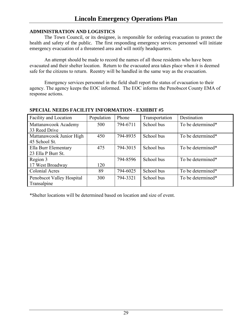#### <span id="page-28-0"></span>**ADMINISTRATION AND LOGISTICS**

The Town Council, or its designee, is responsible for ordering evacuation to protect the health and safety of the public. The first responding emergency services personnel will initiate emergency evacuation of a threatened area and will notify headquarters.

An attempt should be made to record the names of all those residents who have been evacuated and their shelter location. Return to the evacuated area takes place when it is deemed safe for the citizens to return. Reentry will be handled in the same way as the evacuation.

Emergency services personnel in the field shall report the status of evacuation to their agency. The agency keeps the EOC informed. The EOC informs the Penobscot County EMA of response actions.

| Facility and Location     | Population | Phone    | Transportation | Destination       |
|---------------------------|------------|----------|----------------|-------------------|
| Mattanawcook Academy      | 500        | 794-6711 | School bus     | To be determined* |
| 33 Reed Drive             |            |          |                |                   |
| Mattanawcook Junior High  | 450        | 794-8935 | School bus     | To be determined* |
| 45 School St.             |            |          |                |                   |
| Ella Burr Elementary      | 475        | 794-3015 | School bus     | To be determined* |
| 23 Ella P Burr St.        |            |          |                |                   |
| Region 3                  |            | 794-8596 | School bus     | To be determined* |
| 17 West Broadway          | 120        |          |                |                   |
| <b>Colonial Acres</b>     | 89         | 794-6025 | School bus     | To be determined* |
| Penobscot Valley Hospital | 300        | 794-3321 | School bus     | To be determined* |
| Transalpine               |            |          |                |                   |

#### <span id="page-28-1"></span>**SPECIAL NEEDS FACILITY INFORMATION - EXHIBIT #5**

\*Shelter locations will be determined based on location and size of event.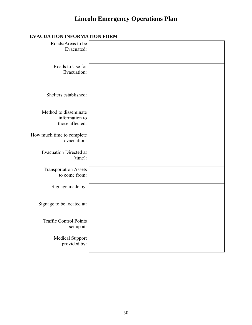| Roads/Areas to be<br>Evacuated:                            |  |
|------------------------------------------------------------|--|
| Roads to Use for<br>Evacuation:                            |  |
| Shelters established:                                      |  |
| Method to disseminate<br>information to<br>those affected: |  |
| How much time to complete<br>evacuation:                   |  |
| <b>Evacuation Directed at</b><br>(time):                   |  |
| <b>Transportation Assets</b><br>to come from:              |  |
| Signage made by:                                           |  |
| Signage to be located at:                                  |  |
| <b>Traffic Control Points</b><br>set up at:                |  |
| <b>Medical Support</b><br>provided by:                     |  |

## <span id="page-29-0"></span>**EVACUATION INFORMATION FORM**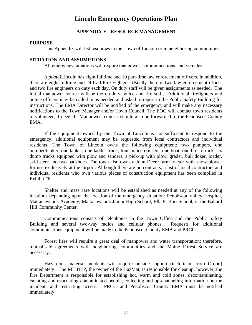#### <span id="page-30-0"></span>**APPENDIX E - RESOURCE MANAGEMENT**

#### <span id="page-30-1"></span>**PURPOSE**

This Appendix will list resources in the Town of Lincoln or in neighboring communities.

#### <span id="page-30-2"></span>**SITUATION AND ASSUMPTIONS**

All emergency situations will require manpower, communications, and vehicles.

*(update)*Lincoln has eight fulltime and 10 part-time law enforcement officers. In addition, there are eight fulltime and 24 Call Fire Fighters. Usually there is two law enforcement officer and two fire engineers on duty each day. On duty staff will be given assignments as needed. The initial manpower source will be the on-duty police and fire staff. Additional firefighters and police officers may be called in as needed and asked to report to the Public Safety Building for instructions. The EMA Director will be notified of the emergency and will make any necessary notifications to the Town Manager and/or Town Council**.** The EOC will contact town residents to volunteer, if needed. Manpower requests should also be forwarded to the Penobscot County EMA.

If the equipment owned by the Town of Lincoln is not sufficient to respond to the emergency, additional equipment may be requested from local contractors and individual residents. The Town of Lincoln owns the following equipment: two pumpers, one pumper/tanker, one tanker, one ladder truck, four police cruisers, one boat, one brush truck, six dump trucks equipped with plow and sanders, a pick-up with plow, grader, bull dozer, loader, skid steer and two backhoes. The town also owns a John Deere farm tractor with snow blower for use exclusively at the airport. Although there are no contracts, a list of local contractors and individual residents who own various pieces of construction equipment has been compiled in Exhibit #6.

Shelter and mass care locations will be established as needed at any of the following locations depending upon the location of the emergency situation: Penobscot Valley Hospital, Mattanawcook Academy, Mattanawcook Junior High School, Ella P. Burr School, or the Ballard Hill Community Center.

Communications consists of telephones in the Town Office and the Public Safety Building and several two-way radios and cellular phones. Requests for additional communications equipment will be made to the Penobscot County EMA and PRCC.

Forest fires will require a great deal of manpower and water transportation; therefore, mutual aid agreements with neighboring communities and the Maine Forest Service are necessary.

Hazardous material incidents will require outside support (tech team from Orono) immediately. The ME DEP, the owner of the HazMat, is responsible for cleanup; however, the Fire Department is responsible for establishing hot, warm and cold zones, decontaminating, isolating and evacuating contaminated people, collecting and up-channeling information on the incident, and restricting access. PRCC and Penobscot County EMA must be notified immediately.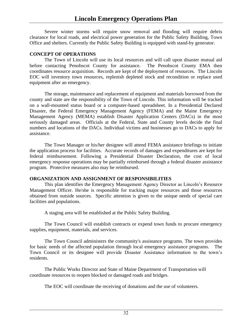Severe winter storms will require snow removal and flooding will require debris clearance for local roads, and electrical power generation for the Public Safety Building, Town Office and shelters. Currently the Public Safety Building is equipped with stand-by generator.

#### <span id="page-31-0"></span>**CONCEPT OF OPERATIONS**

The Town of Lincoln will use its local resources and will call upon disaster mutual aid before contacting Penobscot County for assistance. The Penobscot County EMA then coordinates resource acquisition. Records are kept of the deployment of resources. The Lincoln EOC will inventory town resources, replenish depleted stock and recondition or replace used equipment after an emergency.

The storage, maintenance and replacement of equipment and materials borrowed from the county and state are the responsibility of the Town of Lincoln. This information will be tracked on a wall-mounted status board or a computer-based spreadsheet. In a Presidential Declared Disaster, the Federal Emergency Management Agency (FEMA) and the Maine Emergency Management Agency (MEMA) establish Disaster Application Centers (DACs) in the most seriously damaged areas. Officials at the Federal, State and County levels decide the final numbers and locations of the DACs. Individual victims and businesses go to DACs to apply for assistance.

The Town Manager or his/her designee will attend FEMA assistance briefings to initiate the application process for facilities. Accurate records of damages and expenditures are kept for federal reimbursement. Following a Presidential Disaster Declaration, the cost of local emergency response operations may be partially reimbursed through a federal disaster assistance program. Protective measures also may be reimbursed.

#### <span id="page-31-1"></span>**ORGANIZATION AND ASSIGNMENT OF RESPONSIBILITIES**

This plan identifies the Emergency Management Agency Director as Lincoln's Resource Management Officer. He/she is responsible for tracking major resources and those resources obtained from outside sources. Specific attention is given to the unique needs of special care facilities and populations.

A staging area will be established at the Public Safety Building.

The Town Council will establish contracts or expend town funds to procure emergency supplies, equipment, materials, and services.

The Town Council administers the community's assistance programs. The town provides for basic needs of the affected population through local emergency assistance programs. The Town Council or its designee will provide Disaster Assistance information to the town's residents.

The Public Works Director and State of Maine Department of Transportation will coordinate resources to reopen blocked or damaged roads and bridges.

The EOC will coordinate the receiving of donations and the use of volunteers.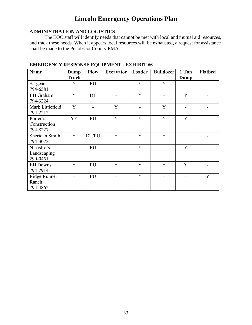### <span id="page-32-0"></span>**ADMINISTRATION AND LOGISTICS**

The EOC staff will identify needs that cannot be met with local and mutual aid resources, and track these needs. When it appears local resources will be exhausted, a request for assistance shall be made to the Penobscot County EMA.

| Name                                  | Dump<br><b>Truck</b> | <b>Plow</b> | <b>Excavator</b> | Loader | <b>Bulldozer</b> | 1 Ton<br>Dump | <b>Flatbed</b> |
|---------------------------------------|----------------------|-------------|------------------|--------|------------------|---------------|----------------|
| Sargeant's<br>794-6581                | Y                    | PU          |                  | Y      | Y                |               |                |
| <b>EH</b> Graham<br>794-3224          | Y                    | DT          |                  | Y      |                  | Y             |                |
| Mark Littlefield<br>794-2212          | Y                    |             | Y                |        | Y                |               |                |
| Porter's<br>Construction<br>794-8227  | YY                   | PU          | Y                | Y      | Y                | Y             |                |
| Sheridan Smith<br>794-3072            | Y                    | DT/PU       | Y                | Y      | Y                |               |                |
| Nicastro's<br>Landscaping<br>290-0451 |                      | PU          |                  | Y      |                  | Y             |                |
| <b>EH Downs</b><br>794-2914           | Y                    | PU          | Y                | Y      | Y                | Y             |                |
| Ridge Runner<br>Ranch<br>794-4862     |                      | PU          |                  | Y      |                  |               | Y              |

#### <span id="page-32-1"></span>**EMERGENCY RESPONSE EQUIPMENT - EXHIBIT #6**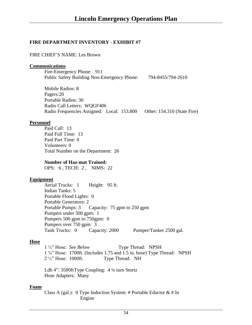#### <span id="page-33-0"></span>**FIRE DEPARTMENT INVENTORY - EXHIBIT #7**

#### FIRE CHIEF'S NAME: Les Brown

#### **Communications**

Fire-Emergency Phone: 911 Public Safety Building Non-Emergency Phone: 794-8455/794-2610

Mobile Radios: 8 Pagers:20 Portable Radios: 30 Radio Call Letters: WQGF406 Radio Frequencies Assigned: Local: 153.800 Other: 154.310 (State Fire)

#### **Personnel**

Paid Call: 13 Paid Full Time: 13 Paid Part Time: 0 Volunteers: 0 Total Number on the Department: 26

#### **Number of Haz-mat Trained:**

OPS: 6 , TECH: 2 , NIMS: 22

#### **Equipment**

Aerial Trucks: 1 Height: 95 ft. Indian Tanks: 5 Portable Flood Lights: 0 Portable Generators: 2 Portable Pumps: 3 Capacity: 75 gpm to 250 gpm Pumpers under 500 gpm: 1 Pumpers 500 gpm to 750gpm: 0 Pumpers over 750 gpm: 3 Tank Trucks: 0 Capacity: 2000 Pumper/Tanker 2500 gal.

#### **Hose**

1 ½" Hose: *See Below* Type Thread: NPSH 1 ¾" Hose: 1700ft. (Includes 1.75 and 1.5 in. hose) Type Thread: NPSH 2 ½" Hose: 1000ft. Type Thread: NH

Ldh 4": 3500ftType Coupling: 4 ¼ turn Stortz Hose Adapters: Many

#### **Foam**

Class A (gal.): 0 Type Induction System: # Portable Eductor  $\&$  # In Engine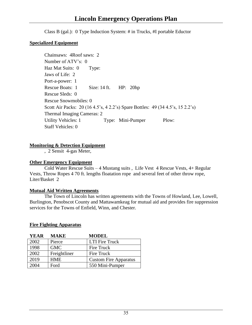Class B (gal.): 0 Type Induction System: # in Trucks, #I portable Eductor

#### **Specialized Equipment**

Chainsaws: 4Roof saws: 2 Number of ATV's: 0 Haz Mat Suits: 0 Type: Jaws of Life: 2 Port-a-power: 1 Rescue Boats: 1 Size: 14 ft. HP: 20hp Rescue Sleds: 0 Rescue Snowmobiles: 0 Scott Air Packs: 20 (16 4.5's, 4 2.2's) Spare Bottles: 49 (34 4.5's, 15 2.2's) Thermal Imaging Cameras: 2 Utility Vehicles: 1 Type: Mini-Pumper Plow: Staff Vehicles: 0

### **Monitoring & Detection Equipment**

, 2 Sensit 4-gas Meter,

#### **Other Emergency Equipment**

Cold Water Rescue Suits – 4 Mustang suits , Life Vest 4 Rescue Vests, 4+ Regular Vests, Throw Ropes 4 70 ft. lengths floatation rope and several feet of other throw rope, Liter/Basket 2

#### **Mutual Aid Written Agreements**

The Town of Lincoln has written agreements with the Towns of Howland, Lee, Lowell, Burlington, Penobscot County and Mattawamkeag for mutual aid and provides fire suppression services for the Towns of Enfield, Winn, and Chester.

### **Fire Fighting Apparatus**

| <b>YEAR</b> | <b>MAKE</b>  | <b>MODEL</b>                 |
|-------------|--------------|------------------------------|
| 2002        | Pierce       | <b>LTI</b> Fire Truck        |
| 1998        | <b>GMC</b>   | Fire Truck                   |
| 2002        | Freightliner | Fire Truck                   |
| 2019        | <b>HME</b>   | <b>Custom Fire Apparatus</b> |
| 2004        | Ford         | 550 Mini-Pumper              |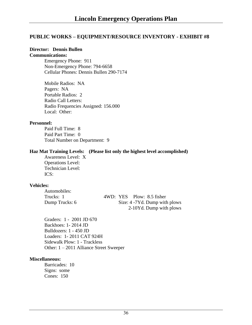## <span id="page-35-0"></span>**PUBLIC WORKS – EQUIPMENT/RESOURCE INVENTORY - EXHIBIT #8**

## **Director: Dennis Bullen**

#### **Communications:**

Emergency Phone: 911 Non-Emergency Phone: 794-6658 Cellular Phones: Dennis Bullen 290-7174

Mobile Radios: NA Pagers: NA Portable Radios: 2 Radio Call Letters: Radio Frequencies Assigned: 156.000 Local: Other:

#### **Personnel:**

Paid Full Time: 8 Paid Part Time: 0 Total Number on Department: 9

#### **Haz Mat Training Levels: (Please list only the highest level accomplished)**

Awareness Level: X Operations Level: Technician Level: ICS:

#### **Vehicles:**

| Automobiles:   |                               |
|----------------|-------------------------------|
| Trucks: 1      | 4WD: YES Plow: 8.5 fisher     |
| Dump Trucks: 6 | Size: 4 -7Yd. Dump with plows |
|                | 2-10Yd. Dump with plows       |

Graders: 1 - 2001 JD 670 Backhoes: 1- 2014 JD Bulldozers: 1 - 450 JD Loaders: 1- 2011 CAT 924H Sidewalk Plow: 1 - Trackless Other: 1 – 2011 Alliance Street Sweeper

#### **Miscellaneous:**

Barricades: 10 Signs: some Cones: 150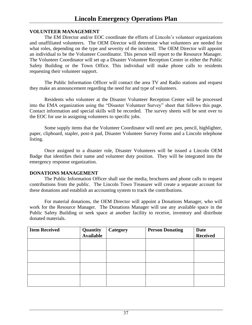#### <span id="page-36-0"></span>**VOLUNTEER MANAGEMENT**

The EM Director and/or EOC coordinate the efforts of Lincoln's volunteer organizations and unaffiliated volunteers. The OEM Director will determine what volunteers are needed for what roles, depending on the type and severity of the incident. The OEM Director will appoint an individual to be the Volunteer Coordinator. This person will report to the Resource Manager. The Volunteer Coordinator will set up a Disaster Volunteer Reception Center in either the Public Safety Building or the Town Office*.* This individual will make phone calls to residents requesting their volunteer support.

The Public Information Officer will contact the area TV and Radio stations and request they make an announcement regarding the need for and type of volunteers.

Residents who volunteer at the Disaster Volunteer Reception Center will be processed into the EMA organization using the "Disaster Volunteer Survey" sheet that follows this page. Contact information and special skills will be recorded. The survey sheets will be sent over to the EOC for use in assigning volunteers to specific jobs.

Some supply items that the Volunteer Coordinator will need are: pen, pencil, highlighter, paper, clipboard, stapler, post-it pad, Disaster Volunteer Survey Forms and a Lincoln telephone listing.

Once assigned to a disaster role, Disaster Volunteers will be issued a Lincoln OEM Badge that identifies their name and volunteer duty position. They will be integrated into the emergency response organization.

#### <span id="page-36-1"></span>**DONATIONS MANAGEMENT**

The Public Information Officer shall use the media, brochures and phone calls to request contributions from the public. The Lincoln Town Treasurer will create a separate account for these donations and establish an accounting system to track the contributions.

For material donations, the OEM Director will appoint a Donations Manager, who will work for the Resource Manager. The Donations Manager will use any available space in the Public Safety Building or seek space at another facility to receive, inventory and distribute donated materials.

| <b>Item Received</b> | Quantity<br><b>Available</b> | Category | <b>Person Donating</b> | <b>Date</b><br><b>Received</b> |
|----------------------|------------------------------|----------|------------------------|--------------------------------|
|                      |                              |          |                        |                                |
|                      |                              |          |                        |                                |
|                      |                              |          |                        |                                |
|                      |                              |          |                        |                                |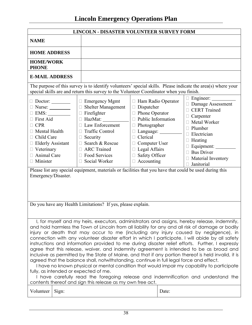<span id="page-37-0"></span>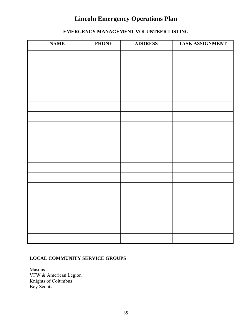## **EMERGENCY MANAGEMENT VOLUNTEER LISTING**

<span id="page-38-0"></span>

| <b>NAME</b> | <b>PHONE</b> | <b>ADDRESS</b> | <b>TASK ASSIGNMENT</b> |
|-------------|--------------|----------------|------------------------|
|             |              |                |                        |
|             |              |                |                        |
|             |              |                |                        |
|             |              |                |                        |
|             |              |                |                        |
|             |              |                |                        |
|             |              |                |                        |
|             |              |                |                        |
|             |              |                |                        |
|             |              |                |                        |
|             |              |                |                        |
|             |              |                |                        |
|             |              |                |                        |
|             |              |                |                        |
|             |              |                |                        |
|             |              |                |                        |
|             |              |                |                        |
|             |              |                |                        |
|             |              |                |                        |

## <span id="page-38-1"></span>**LOCAL COMMUNITY SERVICE GROUPS**

Masons VFW & American Legion Knights of Columbus Boy Scouts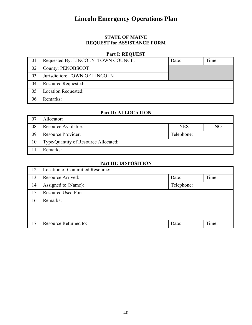## **STATE OF MAINE REQUEST for ASSISTANCE FORM**

## **Part I: REQUEST**

<span id="page-39-1"></span><span id="page-39-0"></span>

| 01 | Requested By: LINCOLN TOWN COUNCIL | Date: | Time: |
|----|------------------------------------|-------|-------|
| 02 | County: PENOBSCOT                  |       |       |
| 03 | Jurisdiction: TOWN OF LINCOLN      |       |       |
| 04 | <b>Resource Requested:</b>         |       |       |
| 05 | Location Requested:                |       |       |
| 06 | Remarks:                           |       |       |

#### **Part II: ALLOCATION**

| 07 | Allocator:                           |            |    |
|----|--------------------------------------|------------|----|
| 08 | Resource Available:                  | YES        | NO |
| 09 | Resource Provider:                   | Telephone: |    |
| 10 | Type/Quantity of Resource Allocated: |            |    |
|    | Remarks:                             |            |    |

## **Part III: DISPOSITION**

| 12 | Location of Committed Resource: |            |       |
|----|---------------------------------|------------|-------|
| 13 | Resource Arrived:               | Date:      | Time: |
| 14 | Assigned to (Name):             | Telephone: |       |
| 15 | Resource Used For:              |            |       |
| 16 | Remarks:                        |            |       |
|    |                                 |            |       |
|    |                                 |            |       |
| 17 | <b>Resource Returned to:</b>    | Date:      | Time: |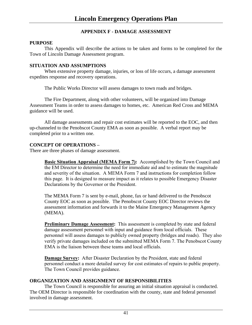## **APPENDIX F - DAMAGE ASSESSMENT**

#### <span id="page-40-1"></span><span id="page-40-0"></span>**PURPOSE**

This Appendix will describe the actions to be taken and forms to be completed for the Town of Lincoln Damage Assessment program.

#### <span id="page-40-2"></span>**SITUATION AND ASSUMPTIONS**

When extensive property damage, injuries, or loss of life occurs, a damage assessment expedites response and recovery operations.

The Public Works Director will assess damages to town roads and bridges.

The Fire Department, along with other volunteers, will be organized into Damage Assessment Teams in order to assess damages to homes, etc. American Red Cross and MEMA guidance will be used.

All damage assessments and repair cost estimates will be reported to the EOC, and then up-channeled to the Penobscot County EMA as soon as possible. A verbal report may be completed prior to a written one.

#### <span id="page-40-3"></span>**CONCEPT OF OPERATIONS –**

There are three phases of damage assessment.

**Basic Situation Appraisal (MEMA Form 7):** Accomplished by the Town Council and the EM Director to determine the need for immediate aid and to estimate the magnitude and severity of the situation. A MEMA Form 7 and instructions for completion follow this page. It is designed to measure impact as it relates to possible Emergency Disaster Declarations by the Governor or the President.

The MEMA Form 7 is sent by e-mail, phone, fax or hand delivered to the Penobscot County EOC as soon as possible. The Penobscot County EOC Director reviews the assessment information and forwards it to the Maine Emergency Management Agency (MEMA).

**Preliminary Damage Assessment:** This assessment is completed by state and federal damage assessment personnel with input and guidance from local officials. These personnel will assess damages to publicly owned property (bridges and roads). They also verify private damages included on the submitted MEMA Form 7. The Penobscot County EMA is the liaison between these teams and local officials.

**Damage Survey:** After Disaster Declaration by the President, state and federal personnel conduct a more detailed survey for cost estimates of repairs to public property. The Town Council provides guidance.

### <span id="page-40-4"></span>**ORGANIZATION AND ASSIGNMENT OF RESPONSIBILITIES**

The Town Council is responsible for assuring an initial situation appraisal is conducted. The OEM Director is responsible for coordination with the county, state and federal personnel involved in damage assessment.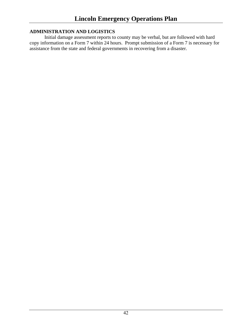## <span id="page-41-0"></span>**ADMINISTRATION AND LOGISTICS**

Initial damage assessment reports to county may be verbal, but are followed with hard copy information on a Form 7 within 24 hours. Prompt submission of a Form 7 is necessary for assistance from the state and federal governments in recovering from a disaster.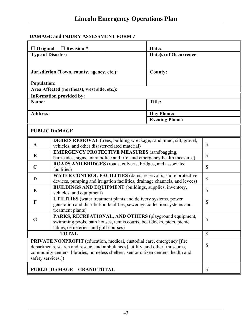## <span id="page-42-0"></span>**DAMAGE and INJURY ASSESSMENT FORM 7**

| $\Box$ Original                                                                                                                                                                                                                                                              | $\Box$ Revision #                                                                                                           | Date:                 |              |
|------------------------------------------------------------------------------------------------------------------------------------------------------------------------------------------------------------------------------------------------------------------------------|-----------------------------------------------------------------------------------------------------------------------------|-----------------------|--------------|
|                                                                                                                                                                                                                                                                              | <b>Type of Disaster:</b><br>Date(s) of Occurrence:                                                                          |                       |              |
|                                                                                                                                                                                                                                                                              |                                                                                                                             |                       |              |
|                                                                                                                                                                                                                                                                              | Jurisdiction (Town, county, agency, etc.):                                                                                  | <b>County:</b>        |              |
|                                                                                                                                                                                                                                                                              |                                                                                                                             |                       |              |
| <b>Population:</b>                                                                                                                                                                                                                                                           |                                                                                                                             |                       |              |
|                                                                                                                                                                                                                                                                              | Area Affected (northeast, west side, etc.):                                                                                 |                       |              |
| Name:                                                                                                                                                                                                                                                                        | <b>Information provided by:</b>                                                                                             | <b>Title:</b>         |              |
|                                                                                                                                                                                                                                                                              |                                                                                                                             |                       |              |
| <b>Address:</b>                                                                                                                                                                                                                                                              |                                                                                                                             | <b>Day Phone:</b>     |              |
|                                                                                                                                                                                                                                                                              |                                                                                                                             | <b>Evening Phone:</b> |              |
|                                                                                                                                                                                                                                                                              | <b>PUBLIC DAMAGE</b>                                                                                                        |                       |              |
| $\mathbf A$                                                                                                                                                                                                                                                                  | <b>DEBRIS REMOVAL</b> (trees, building wreckage, sand, mud, silt, gravel,<br>vehicles, and other disaster-related material) |                       | \$           |
| B                                                                                                                                                                                                                                                                            | <b>EMERGENCY PROTECTIVE MEASURES</b> (sandbagging,                                                                          |                       | \$           |
|                                                                                                                                                                                                                                                                              | barricades, signs, extra police and fire, and emergency health measures)                                                    |                       |              |
| $\mathbf C$                                                                                                                                                                                                                                                                  | ROADS AND BRIDGES (roads, culverts, bridges, and associated<br>facilities)                                                  |                       | $\mathbb{S}$ |
|                                                                                                                                                                                                                                                                              | WATER CONTROL FACILITIES (dams, reservoirs, shore protective                                                                |                       |              |
| D                                                                                                                                                                                                                                                                            | devices, pumping and irrigation facilities, drainage channels, and levees)                                                  |                       | \$           |
| E                                                                                                                                                                                                                                                                            | <b>BUILDINGS AND EQUIPMENT</b> (buildings, supplies, inventory,<br>vehicles, and equipment)                                 |                       | $\mathbb{S}$ |
|                                                                                                                                                                                                                                                                              | UTILITIES (water treatment plants and delivery systems, power                                                               |                       |              |
| $\mathbf F$                                                                                                                                                                                                                                                                  | generation and distribution facilities, sewerage collection systems and                                                     | \$                    |              |
|                                                                                                                                                                                                                                                                              | treatment plants)                                                                                                           |                       |              |
| G                                                                                                                                                                                                                                                                            | PARKS, RECREATIONAL, AND OTHERS (playground equipment,                                                                      | \$                    |              |
|                                                                                                                                                                                                                                                                              | swimming pools, bath houses, tennis courts, boat docks, piers, picnic<br>tables, cemeteries, and golf courses)              |                       |              |
| <b>TOTAL</b>                                                                                                                                                                                                                                                                 |                                                                                                                             |                       | $\mathbf S$  |
| <b>PRIVATE NONPROFIT</b> (education, medical, custodial care, emergency [fire]<br>departments, search and rescue, and ambulances], utility, and other [museums,<br>community centers, libraries, homeless shelters, senior citizen centers, health and<br>safety services.]) |                                                                                                                             |                       | \$           |
|                                                                                                                                                                                                                                                                              | <b>PUBLIC DAMAGE-GRAND TOTAL</b>                                                                                            |                       | \$           |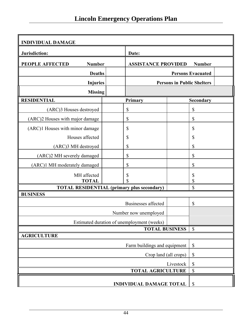| <b>INDIVIDUAL DAMAGE</b>                          |  |                                             |  |                           |
|---------------------------------------------------|--|---------------------------------------------|--|---------------------------|
| Jurisdiction:                                     |  | Date:                                       |  |                           |
| <b>PEOPLE AFFECTED</b><br><b>Number</b>           |  | <b>ASSISTANCE PROVIDED</b><br><b>Number</b> |  |                           |
| <b>Deaths</b>                                     |  |                                             |  | <b>Persons Evacuated</b>  |
| <b>Injuries</b>                                   |  | <b>Persons in Public Shelters</b>           |  |                           |
| <b>Missing</b>                                    |  |                                             |  |                           |
| <b>RESIDENTIAL</b>                                |  | Primary                                     |  | Secondary                 |
| (ARC)3 Houses destroyed                           |  | \$                                          |  | $\boldsymbol{\mathsf{S}}$ |
| (ARC)2 Houses with major damage                   |  | \$                                          |  | \$                        |
| (ARC)1 Houses with minor damage                   |  | \$                                          |  | \$                        |
| Houses affected                                   |  | \$                                          |  | \$                        |
| (ARC)3 MH destroyed                               |  | \$                                          |  | \$                        |
| (ARC)2 MH severely damaged                        |  | \$                                          |  | \$                        |
| (ARC)1 MH moderately damaged                      |  | \$                                          |  | \$                        |
| MH affected<br><b>TOTAL</b>                       |  | \$<br>\$                                    |  | \$<br>\$                  |
| <b>TOTAL RESIDENTIAL (primary plus secondary)</b> |  |                                             |  | \$                        |
| <b>BUSINESS</b>                                   |  |                                             |  |                           |
| <b>Businesses</b> affected                        |  |                                             |  | $\boldsymbol{\mathsf{S}}$ |
|                                                   |  | Number now unemployed                       |  |                           |
| Estimated duration of unemployment (weeks)        |  |                                             |  |                           |
| <b>TOTAL BUSINESS</b><br><b>AGRICULTURE</b>       |  |                                             |  | $\mathcal{S}$             |
| Farm buildings and equipment                      |  |                                             |  | $\boldsymbol{\mathsf{S}}$ |
|                                                   |  |                                             |  | $\boldsymbol{\mathsf{S}}$ |
| Crop land (all crops)<br>Livestock                |  |                                             |  | $\boldsymbol{\mathsf{S}}$ |
| <b>TOTAL AGRICULTURE</b>                          |  |                                             |  | $\boldsymbol{\mathsf{S}}$ |
|                                                   |  | <b>INDIVIDUAL DAMAGE TOTAL</b>              |  | $\boldsymbol{\mathsf{S}}$ |
|                                                   |  |                                             |  |                           |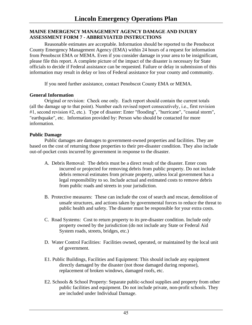#### <span id="page-44-0"></span>**MAINE EMERGENCY MANAGEMENT AGENCY DAMAGE AND INJURY ASSESSMENT FORM 7 - ABBREVIATED INSTRUCTIONS**

Reasonable estimates are acceptable. Information should be reported to the Penobscot County Emergency Management Agency (EMA) within 24 hours of a request for information from Penobscot EMA or MEMA. Even if you consider damage in your area to be insignificant, please file this report. A complete picture of the impact of the disaster is necessary for State officials to decide if Federal assistance can be requested. Failure or delay in submission of this information may result in delay or loss of Federal assistance for your county and community.

If you need further assistance, contact Penobscot County EMA or MEMA.

#### **General Information**

Original or revision: Check one only. Each report should contain the current totals (all the damage up to that point). Number each revised report consecutively, i.e., first revision #1, second revision #2, etc.). Type of disaster: Enter "flooding", "hurricane", "coastal storm", "earthquake", etc. Information provided by: Person who should be contacted for more information.

#### **Public Damage**

Public damages are damages to government-owned properties and facilities. They are based on the cost of returning those properties to their pre-disaster condition. They also include out-of-pocket costs incurred by government in response to the disaster.

- A. Debris Removal: The debris must be a direct result of the disaster. Enter costs incurred or projected for removing debris from public property. Do not include debris removal estimates from private property, unless local government has a legal responsibility to so. Include actual and estimated costs to remove debris from public roads and streets in your jurisdiction.
- B. Protective measures: These can include the cost of search and rescue, demolition of unsafe structures, and actions taken by governmental forces to reduce the threat to public health and safety. The disaster must be responsible for your extra costs.
- C. Road Systems: Cost to return property to its pre-disaster condition. Include only property owned by the jurisdiction (do not include any State or Federal Aid System roads, streets, bridges, etc.)
- D. Water Control Facilities: Facilities owned, operated, or maintained by the local unit of government.
- E1. Public Buildings, Facilities and Equipment: This should include any equipment directly damaged by the disaster (not those damaged during response), replacement of broken windows, damaged roofs, etc.
- E2. Schools & School Property: Separate public-school supplies and property from other public facilities and equipment. Do not include private, non-profit schools. They are included under Individual Damage.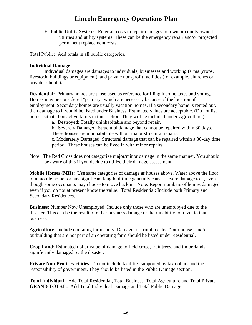F. Public Utility Systems: Enter all costs to repair damages to town or county owned utilities and utility systems. These can be the emergency repair and/or projected permanent replacement costs.

Total Public: Add totals in all public categories.

#### **Individual Damage**

Individual damages are damages to individuals, businesses and working farms (crops, livestock, buildings or equipment), and private non-profit facilities (for example, churches or private schools).

**Residential:** Primary homes are those used as reference for filing income taxes and voting. Homes may be considered "primary" which are necessary because of the location of employment. Secondary homes are usually vacation homes. If a secondary home is rented out, then damage to it would be listed under Business. Estimated values are acceptable. (Do not list homes situated on active farms in this section. They will be included under Agriculture.)

a. Destroyed: Totally uninhabitable and beyond repair.

 b. Severely Damaged: Structural damage that cannot be repaired within 30 days. These houses are uninhabitable without major structural repairs.

c. Moderately Damaged: Structural damage that can be repaired within a 30-day time period. These houses can be lived in with minor repairs.

Note: The Red Cross does not categorize major/minor damage in the same manner. You should be aware of this if you decide to utilize their damage assessment.

**Mobile Homes (MH):** Use same categories of damage as houses above. Water above the floor of a mobile home for any significant length of time generally causes severe damage to it, even though some occupants may choose to move back in. Note: Report numbers of homes damaged even if you do not at present know the value. Total Residential: Include both Primary and Secondary Residences.

**Business:** Number Now Unemployed: Include only those who are unemployed due to the disaster. This can be the result of either business damage or their inability to travel to that business.

**Agriculture:** Include operating farms only. Damage to a rural located "farmhouse" and/or outbuilding that are not part of an operating farm should be listed under Residential.

**Crop Land:** Estimated dollar value of damage to field crops, fruit trees, and timberlands significantly damaged by the disaster.

**Private Non-Profit Facilities:** Do not include facilities supported by tax dollars and the responsibility of government. They should be listed in the Public Damage section.

**Total Individual:** Add Total Residential, Total Business, Total Agriculture and Total Private. **GRAND TOTAL:** Add Total Individual Damage and Total Public Damage.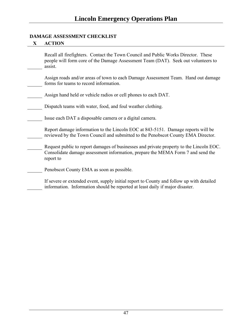#### <span id="page-46-0"></span>**DAMAGE ASSESSMENT CHECKLIST**

#### **X ACTION**

Recall all firefighters. Contact the Town Council and Public Works Director. These people will form core of the Damage Assessment Team (DAT). Seek out volunteers to assist.

Assign roads and/or areas of town to each Damage Assessment Team. Hand out damage forms for teams to record information.

Assign hand held or vehicle radios or cell phones to each DAT.

Dispatch teams with water, food, and foul weather clothing.

Issue each DAT a disposable camera or a digital camera.

Report damage information to the Lincoln EOC at 843-5151. Damage reports will be reviewed by the Town Council and submitted to the Penobscot County EMA Director.

Request public to report damages of businesses and private property to the Lincoln EOC. Consolidate damage assessment information, prepare the MEMA Form 7 and send the report to

Penobscot County EMA as soon as possible.

If severe or extended event, supply initial report to County and follow up with detailed information. Information should be reported at least daily if major disaster.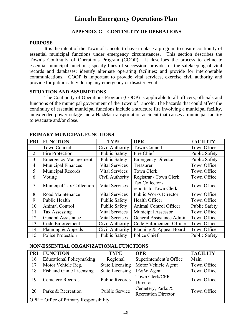#### <span id="page-47-0"></span>**APPENDIX G – CONTINUITY OF OPERATIONS**

#### <span id="page-47-1"></span>**PURPOSE**

It is the intent of the Town of Lincoln to have in place a program to ensure continuity of essential municipal functions under emergency circumstances. This section describes the Town's Continuity of Operations Program (COOP). It describes the process to delineate essential municipal functions; specify lines of succession; provide for the safekeeping of vital records and databases; identify alternate operating facilities; and provide for interoperable communications. COOP is important to provide vital services, exercise civil authority and provide for public safety during any emergency or disaster event.

#### <span id="page-47-2"></span>**SITUATION AND ASSUMPTIONS**

The Continuity of Operations Program (COOP) is applicable to all officers, officials and functions of the municipal government of the Town of Lincoln. The hazards that could affect the continuity of essential municipal functions include a structure fire involving a municipal facility, an extended power outage and a HazMat transportation accident that causes a municipal facility to evacuate and/or close.

| <b>PRI</b>     | <b>FUNCTION</b>             | <b>TYPE</b>           | <b>OPR</b>                               | <b>FACILITY</b>      |  |  |
|----------------|-----------------------------|-----------------------|------------------------------------------|----------------------|--|--|
|                | Town Council                | Civil Authority       | Town Council                             | Town Office          |  |  |
| $\overline{2}$ | Fire Protection             | Public Safety         | Fire Chief                               | Public Safety        |  |  |
| $\overline{3}$ | <b>Emergency Management</b> | Public Safety         | <b>Emergency Director</b>                | Public Safety        |  |  |
| $\overline{4}$ | <b>Municipal Finances</b>   | Vital Services        | Treasurer                                | Town Office          |  |  |
| 5              | Municipal Records           | Vital Services        | Town Clerk                               | Town Office          |  |  |
| 6              | Voting                      | Civil Authority       | Registrar / Town Clerk                   | Town Office          |  |  |
| 7              | Municipal Tax Collection    | Vital Services        | Tax Collector /<br>reports to Town Clerk | Town Office          |  |  |
| 8              | Road Maintenance            | Vital Services        | <b>Public Works Director</b>             | Town Office          |  |  |
| 9              | Public Health               | Public Safety         | Health Officer                           | Town Office          |  |  |
| 10             | Animal Control              | Public Safety         | Animal Control Officer                   | Public Safety        |  |  |
| 11             | Tax Assessing               | <b>Vital Services</b> | Municipal Assessor                       | Town Office          |  |  |
| 12             | General Assistance          | Vital Services        | General Assistance Admin                 | Town Office          |  |  |
| 13             | Code Enforcement            | Civil Authority       | Code Enforcement Officer                 | Town Office          |  |  |
| 14             | Planning & Appeals          | Civil Authority       | Planning & Appeal Board                  | Town Office          |  |  |
| 15             | <b>Police Protection</b>    | Public Safety         | Police Chief                             | <b>Public Safety</b> |  |  |

#### <span id="page-47-3"></span>**PRIMARY MUNICIPAL FUNCTIONS**

#### <span id="page-47-4"></span>**NON-ESSENTIAL ORGANIZATIONAL FUNCTIONS**

| <b>PRI</b>                               | <b>FUNCTION</b>                 | <b>TYPE</b>            | <b>OPR</b>                                      | <b>FACILITY</b> |  |
|------------------------------------------|---------------------------------|------------------------|-------------------------------------------------|-----------------|--|
| 16                                       | <b>Educational Policymaking</b> | Regional               | Superintendent's Office                         | Main            |  |
| 17                                       | Motor Vehicle Reg.              | <b>State Licensing</b> | Motor Vehicle Agent                             | Town Office     |  |
| 18                                       | Fish and Game Licensing         | <b>State Licensing</b> | IF&W Agent                                      | Town Office     |  |
| 19                                       | <b>Cemetery Records</b>         | Public Records         | Town Clerk/CPR<br>Director                      | Town Office     |  |
| 20                                       | Parks & Recreation              | Public Service         | Cemetery, Parks &<br><b>Recreation Director</b> | Town Office     |  |
| $OPR =$ Office of Primary Responsibility |                                 |                        |                                                 |                 |  |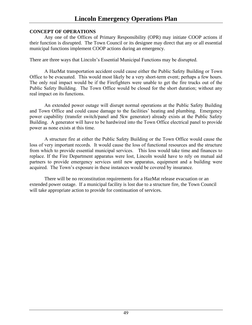#### <span id="page-48-0"></span>**CONCEPT OF OPERATIONS**

Any one of the Offices of Primary Responsibility (OPR) may initiate COOP actions if their function is disrupted. The Town Council or its designee may direct that any or all essential municipal functions implement COOP actions during an emergency.

There are three ways that Lincoln's Essential Municipal Functions may be disrupted.

A HazMat transportation accident could cause either the Public Safety Building or Town Office to be evacuated. This would most likely be a very short-term event; perhaps a few hours. The only real impact would be if the Firefighters were unable to get the fire trucks out of the Public Safety Building. The Town Office would be closed for the short duration; without any real impact on its functions.

An extended power outage will disrupt normal operations at the Public Safety Building and Town Office and could cause damage to the facilities' heating and plumbing. Emergency power capability (transfer switch/panel and 5kw generator) already exists at the Public Safety Building. A generator will have to be hardwired into the Town Office electrical panel to provide power as none exists at this time.

A structure fire at either the Public Safety Building or the Town Office would cause the loss of very important records. It would cause the loss of functional resources and the structure from which to provide essential municipal services. This loss would take time and finances to replace. If the Fire Department apparatus were lost, Lincoln would have to rely on mutual aid partners to provide emergency services until new apparatus, equipment and a building were acquired. The Town's exposure in these instances would be covered by insurance.

There will be no reconstitution requirements for a HazMat release evacuation or an extended power outage. If a municipal facility is lost due to a structure fire, the Town Council will take appropriate action to provide for continuation of services.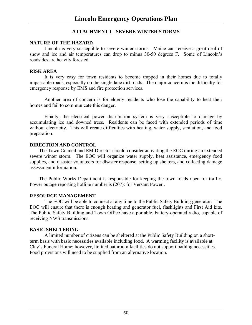#### **ATTACHMENT 1 - SEVERE WINTER STORMS**

#### <span id="page-49-1"></span><span id="page-49-0"></span>**NATURE OF THE HAZARD**

Lincoln is very susceptible to severe winter storms. Maine can receive a great deal of snow and ice and air temperatures can drop to minus 30-50 degrees F. Some of Lincoln's roadsides are heavily forested.

#### <span id="page-49-2"></span>**RISK AREA**

It is very easy for town residents to become trapped in their homes due to totally impassable roads, especially on the single lane dirt roads. The major concern is the difficulty for emergency response by EMS and fire protection services.

Another area of concern is for elderly residents who lose the capability to heat their homes and fail to communicate this danger.

Finally, the electrical power distribution system is very susceptible to damage by accumulating ice and downed trees. Residents can be faced with extended periods of time without electricity. This will create difficulties with heating, water supply, sanitation, and food preparation.

#### <span id="page-49-3"></span>**DIRECTION AND CONTROL**

The Town Council and EM Director should consider activating the EOC during an extended severe winter storm. The EOC will organize water supply, heat assistance, emergency food supplies, and disaster volunteers for disaster response, setting up shelters, and collecting damage assessment information.

The Public Works Department is responsible for keeping the town roads open for traffic. Power outage reporting hotline number is (207): for Versant Power..

#### <span id="page-49-4"></span>**RESOURCE MANAGEMENT**

The EOC will be able to connect at any time to the Public Safety Building generator. The EOC will ensure that there is enough heating and generator fuel, flashlights and First Aid kits. The Public Safety Building and Town Office have a portable, battery-operated radio, capable of receiving NWS transmissions.

#### <span id="page-49-5"></span>**BASIC SHELTERING**

A limited number of citizens can be sheltered at the Public Safety Building on a shortterm basis with basic necessities available including food. A warming facility is available at Clay's Funeral Home; however, limited bathroom facilities do not support bathing necessities. Food provisions will need to be supplied from an alternative location.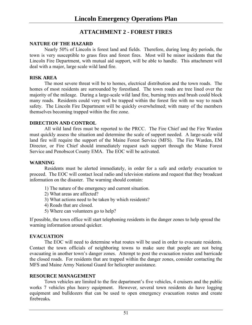## **ATTACHMENT 2 - FOREST FIRES**

#### <span id="page-50-1"></span><span id="page-50-0"></span>**NATURE OF THE HAZARD**

Nearly 50% of Lincoln is forest land and fields. Therefore, during long dry periods, the town is very susceptible to grass fires and forest fires. Most will be minor incidents that the Lincoln Fire Department, with mutual aid support, will be able to handle. This attachment will deal with a major, large scale wild land fire.

#### <span id="page-50-2"></span>**RISK AREA**

The most severe threat will be to homes, electrical distribution and the town roads. The homes of most residents are surrounded by forestland. The town roads are tree lined over the majority of the mileage. During a large-scale wild land fire, burning trees and brush could block many roads. Residents could very well be trapped within the forest fire with no way to reach safety. The Lincoln Fire Department will be quickly overwhelmed; with many of the members themselves becoming trapped within the fire zone.

#### <span id="page-50-3"></span>**DIRECTION AND CONTROL**

All wild land fires must be reported to the PRCC. The Fire Chief and the Fire Warden must quickly assess the situation and determine the scale of support needed. A large-scale wild land fire will require the support of the Maine Forest Service (MFS). The Fire Warden, EM Director, or Fire Chief should immediately request such support through the Maine Forest Service and Penobscot County EMA. The EOC will be activated.

#### <span id="page-50-4"></span>**WARNING**

Residents must be alerted immediately, in order for a safe and orderly evacuation to proceed. The EOC will contact local radio and television stations and request that they broadcast information on the disaster. The warning should contain:

- 1) The nature of the emergency and current situation.
- 2) What areas are affected?
- 3) What actions need to be taken by which residents?
- 4) Roads that are closed.
- 5) Where can volunteers go to help?

If possible, the town office will start telephoning residents in the danger zones to help spread the warning information around quicker.

#### <span id="page-50-5"></span>**EVACUATION**

The EOC will need to determine what routes will be used in order to evacuate residents. Contact the town officials of neighboring towns to make sure that people are not being evacuating in another town's danger zones. Attempt to post the evacuation routes and barricade the closed roads. For residents that are trapped within the danger zones, consider contacting the MFS and Maine Army National Guard for helicopter assistance.

#### <span id="page-50-6"></span>**RESOURCE MANAGEMENT**

Town vehicles are limited to the fire department's five vehicles, 4 cruisers and the public works 7 vehicles plus heavy equipment. However, several town residents do have logging equipment and bulldozers that can be used to open emergency evacuation routes and create firebreaks*.*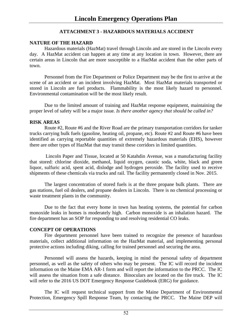#### <span id="page-51-0"></span>**ATTACHMENT 3 - HAZARDOUS MATERIALS ACCIDENT**

#### <span id="page-51-1"></span>**NATURE OF THE HAZARD**

Hazardous materials (HazMat) travel through Lincoln and are stored in the Lincoln every day. A HazMat accident can happen at any time at any location in town. However, there are certain areas in Lincoln that are more susceptible to a HazMat accident than the other parts of town.

Personnel from the Fire Department or Police Department may be the first to arrive at the scene of an accident or an incident involving HazMat. Most HazMat materials transported or stored in Lincoln are fuel products. Flammability is the most likely hazard to personnel. Environmental contamination will be the most likely result.

Due to the limited amount of training and HazMat response equipment, maintaining the proper level of safety will be a major issue*. Is there another agency that should be called in?*

#### <span id="page-51-2"></span>**RISK AREAS**

Route #2, Route #6 and the River Road are the primary transportation corridors for tanker trucks carrying bulk fuels (gasoline, heating oil, propane, etc). Route #2 and Route #6 have been identified as carrying reportable quantities of extremely hazardous materials (EHS), however there are other types of HazMat that may transit these corridors in limited quantities.

Lincoln Paper and Tissue, located at 50 Katahdin Avenue, was a manufacturing facility that stored: chlorine dioxide, methanol, liquid oxygen, caustic soda, white, black and green liquor, sulfuric acid, spent acid, dislodge and hydrogen peroxide. The facility used to receive shipments of these chemicals via trucks and rail. The facility permanently closed in Nov. 2015.

The largest concentration of stored fuels is at the three propane bulk plants. There are gas stations, fuel oil dealers, and propane dealers in Lincoln. There is no chemical processing or waste treatment plants in the community.

Due to the fact that every home in town has heating systems, the potential for carbon monoxide leaks in homes is moderately high. Carbon monoxide is an inhalation hazard. The fire department has an SOP for responding to and resolving residential CO leaks.

#### <span id="page-51-3"></span>**CONCEPT OF OPERATIONS**

Fire department personnel have been trained to recognize the presence of hazardous materials, collect additional information on the HazMat material, and implementing personal protective actions including diking, calling for trained personnel and securing the area.

Personnel will assess the hazards, keeping in mind the personal safety of department personnel, as well as the safety of others who may be present. The IC will record the incident information on the Maine EMA AR-1 form and will report the information to the PRCC. The IC will assess the situation from a safe distance. Binoculars are located on the fire truck. The IC will refer to the 2016 US DOT Emergency Response Guidebook (ERG) for guidance.

The IC will request technical support from the Maine Department of Environmental Protection, Emergency Spill Response Team, by contacting the PRCC. The Maine DEP will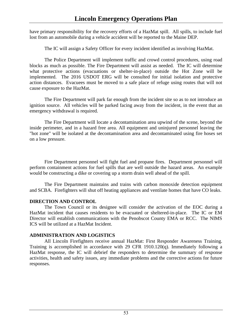have primary responsibility for the recovery efforts of a HazMat spill. All spills, to include fuel lost from an automobile during a vehicle accident will be reported to the Maine DEP.

The IC will assign a Safety Officer for every incident identified as involving HazMat.

The Police Department will implement traffic and crowd control procedures, using road blocks as much as possible. The Fire Department will assist as needed. The IC will determine what protective actions (evacuations or shelter-in-place) outside the Hot Zone will be implemented. The 2016 USDOT ERG will be consulted for initial isolation and protective action distances. Evacuees must be moved to a safe place of refuge using routes that will not cause exposure to the HazMat.

The Fire Department will park far enough from the incident site so as to not introduce an ignition source. All vehicles will be parked facing away from the incident, in the event that an emergency withdrawal is required.

The Fire Department will locate a decontamination area upwind of the scene, beyond the inside perimeter, and in a hazard free area. All equipment and uninjured personnel leaving the "hot zone" will be isolated at the decontamination area and decontaminated using fire hoses set on a low pressure.

Fire Department personnel will fight fuel and propane fires. Department personnel will perform containment actions for fuel spills that are well outside the hazard areas. An example would be constructing a dike or covering up a storm drain well ahead of the spill.

The Fire Department maintains and trains with carbon monoxide detection equipment and SCBA. Firefighters will shut off heating appliances and ventilate homes that have CO leaks.

#### <span id="page-52-0"></span>**DIRECTION AND CONTROL**

The Town Council or its designee will consider the activation of the EOC during a HazMat incident that causes residents to be evacuated or sheltered-in-place. The IC or EM Director will establish communications with the Penobscot County EMA or RCC. The NIMS ICS will be utilized at a HazMat Incident.

#### <span id="page-52-1"></span>**ADMINISTRATION AND LOGISTICS**

All Lincoln Firefighters receive annual HazMat: First Responder Awareness Training. Training is accomplished in accordance with 29 CFR 1910.120(q). Immediately following a HazMat response, the IC will debrief the responders to determine the summary of response activities, health and safety issues, any immediate problems and the corrective actions for future responses.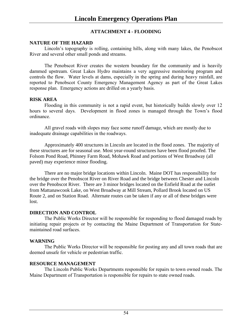## **ATTACHMENT 4 - FLOODING**

#### <span id="page-53-1"></span><span id="page-53-0"></span>**NATURE OF THE HAZARD**

Lincoln's topography is rolling, containing hills, along with many lakes, the Penobscot River and several other small ponds and streams.

The Penobscot River creates the western boundary for the community and is heavily dammed upstream. Great Lakes Hydro maintains a very aggressive monitoring program and controls the flow. Water levels at dams, especially in the spring and during heavy rainfall, are reported to Penobscot County Emergency Management Agency as part of the Great Lakes response plan. Emergency actions are drilled on a yearly basis.

#### <span id="page-53-2"></span>**RISK AREA**

Flooding in this community is not a rapid event, but historically builds slowly over 12 hours to several days. Development in flood zones is managed through the Town's flood ordinance.

All gravel roads with slopes may face some runoff damage, which are mostly due to inadequate drainage capabilities in the roadways.

Approximately 400 structures in Lincoln are located in the flood zones. The majority of these structures are for seasonal use. Most year-round structures have been flood proofed. The Folsom Pond Road, Phinney Farm Road, Mohawk Road and portions of West Broadway (all paved) may experience minor flooding.

There are no major bridge locations within Lincoln. Maine DOT has responsibility for the bridge over the Penobscot River on River Road and the bridge between Chester and Lincoln over the Penobscot River. There are 3 minor bridges located on the Enfield Road at the outlet from Mattanawcook Lake, on West Broadway at Mill Stream, Pollard Brook located on US Route 2, and on Station Road. Alternate routes can be taken if any or all of these bridges were lost.

#### <span id="page-53-3"></span>**DIRECTION AND CONTROL**

The Public Works Director will be responsible for responding to flood damaged roads by initiating repair projects or by contacting the Maine Department of Transportation for Statemaintained road surfaces.

#### <span id="page-53-4"></span>**WARNING**

The Public Works Director will be responsible for posting any and all town roads that are deemed unsafe for vehicle or pedestrian traffic.

### <span id="page-53-5"></span>**RESOURCE MANAGEMENT**

The Lincoln Public Works Departments responsible for repairs to town owned roads. The Maine Department of Transportation is responsible for repairs to state owned roads.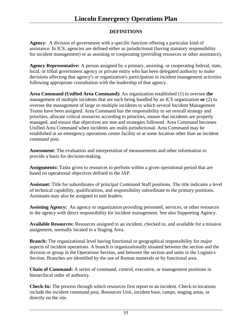## **DEFINITIONS**

<span id="page-54-0"></span>**Agency**: A division of government with a specific function offering a particular kind of assistance. In ICS, agencies are defined either as jurisdictional (having statutory responsibility for incident management) or as assisting or cooperating (providing resources or other assistance).

**Agency Representative:** A person assigned by a primary, assisting, or cooperating federal, state, local, or tribal government agency or private entity who has been delegated authority to make decisions affecting that agency's or organization's participation in incident management activities following appropriate consultation with the leadership of that agency.

**Area Command (Unified Area Command):** An organization established (1) to oversee **the**  management of multiple incidents that are each being handled by an ICS organization **or** (2) to oversee the management of large or multiple incidents to which several Incident Management Teams have been assigned. Area Command has the responsibility to set overall strategy and priorities, allocate critical resources according to priorities, ensure that incidents are properly managed, and ensure that objectives are met and strategies followed. Area Command becomes Unified Area Command when incidents are multi-jurisdictional. Area Command may be established at an emergency operations center facility or at some location other than an incident command post.

**Assessment:** The evaluation and interpretation of measurements and other information to provide a basis for decision-making.

**Assignments:** Tasks given to resources to perform within a given operational period that are based on operational objectives defined in the IAP.

**Assistant:** Title for subordinates of principal Command Staff positions. The title indicates a level of technical capability, qualifications, and responsibility subordinate to the primary positions. Assistants may also be assigned to unit leaders.

**Assisting Agency:** An agency or organization providing personnel, services, or other resources to the agency with direct responsibility for incident management. See also Supporting Agency.

**Available Resources:** Resources assigned to an incident, checked in, and available for a mission assignment, normally located in a Staging Area.

**Branch:** The organizational level having functional or geographical responsibility for major aspects of incident operations. A branch is organizationally situated between the section and the division or group in the Operations Section, and between the section and units in the Logistics Section. Branches are identified by the use of Roman numerals or by functional area.

**Chain of Command:** A series of command, control, executive, or management positions in hierarchical order of authority.

**Check-In:** The process through which resources first report to an incident. Check-in locations include the incident command post, Resources Unit, incident base, camps, staging areas, or directly on the site.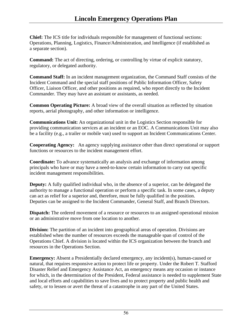**Chief:** The ICS title for individuals responsible for management of functional sections: Operations, Planning, Logistics, Finance/Administration, and Intelligence (if established as a separate section).

**Command:** The act of directing, ordering, or controlling by virtue of explicit statutory, regulatory, or delegated authority.

**Command Staff:** In an incident management organization, the Command Staff consists of the Incident Command and the special staff positions of Public Information Officer, Safety Officer, Liaison Officer, and other positions as required, who report directly to the Incident Commander. They may have an assistant or assistants, as needed.

**Common Operating Picture:** A broad view of the overall situation as reflected by situation reports, aerial photography, and other information or intelligence.

**Communications Unit:** An organizational unit in the Logistics Section responsible for providing communication services at an incident or an EOC. A Communications Unit may also be a facility (e.g., a trailer or mobile van) used to support an Incident Communications Center.

**Cooperating Agency:** An agency supplying assistance other than direct operational or support functions or resources to the incident management effort.

**Coordinate:** To advance systematically an analysis and exchange of information among principals who have or may have a need-to-know certain information to carry out specific incident management responsibilities.

**Deputy:** A fully qualified individual who, in the absence of a superior, can be delegated the authority to manage a functional operation or perform a specific task. In some cases, a deputy can act as relief for a superior and, therefore, must be fully qualified in the position. Deputies can be assigned to the Incident Commander, General Staff, and Branch Directors.

**Dispatch:** The ordered movement of a resource or resources to an assigned operational mission or an administrative move from one location to another.

**Division:** The partition of an incident into geographical areas of operation. Divisions are established when the number of resources exceeds the manageable span of control of the Operations Chief. A division is located within the ICS organization between the branch and resources in the Operations Section.

**Emergency:** Absent a Presidentially declared emergency, any incident(s), human-caused or natural, that requires responsive action to protect life or property. Under the Robert T. Stafford Disaster Relief and Emergency Assistance Act, an emergency means any occasion or instance for which, in the determination of the President, Federal assistance is needed to supplement State and local efforts and capabilities to save lives and to protect property and public health and safety, or to lessen or avert the threat of a catastrophe in any part of the United States.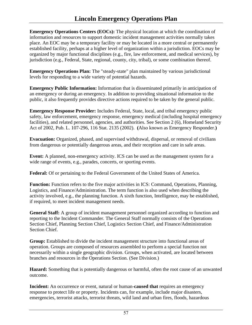**Emergency Operations Centers (EOCs):** The physical location at which the coordination of information and resources to support domestic incident management activities normally takes place. An EOC may be a temporary facility or may be located in a more central or permanently established facility, perhaps at a higher level of organization within a jurisdiction. EOCs may be organized by major functional disciplines (e.g., fire, law enforcement, and medical services), by jurisdiction (e.g., Federal, State, regional, county, city, tribal), or some combination thereof.

**Emergency Operations Plan:** The "steady-state" plan maintained by various jurisdictional levels for responding to a wide variety of potential hazards.

**Emergency Public Information:** Information that is disseminated primarily in anticipation of an emergency or during an emergency. In addition to providing situational information to the public, it also frequently provides directive actions required to be taken by the general public.

**Emergency Response Provider:** Includes Federal, State, local, and tribal emergency public safety, law enforcement, emergency response, emergency medical (including hospital emergency facilities), and related personnel, agencies, and authorities. See Section 2 (6), Homeland Security Act of 2002, Pub. L. 107-296, 116 Stat. 2135 (2002). **(**Also known as Emergency Responder.**)**

**Evacuation:** Organized, phased, and supervised withdrawal, dispersal, or removal of civilians from dangerous or potentially dangerous areas, and their reception and care in safe areas.

**Event:** A planned, non-emergency activity. ICS can be used as the management system for a wide range of events, e.g., parades, concerts, or sporting events.

**Federal:** Of or pertaining to the Federal Government of the United States of America.

**Function:** Function refers to the five major activities in ICS: Command, Operations, Planning, Logistics, and Finance/Administration. The term function is also used when describing the activity involved, e.g., the planning function. A sixth function, Intelligence, may be established, if required, to meet incident management needs.

**General Staff:** A group of incident management personnel organized according to function and reporting to the Incident Commander. The General Staff normally consists of the Operations Section Chief, Planning Section Chief, Logistics Section Chief, and Finance/Administration Section Chief.

**Group:** Established to divide the incident management structure into functional areas of operation. Groups are composed of resources assembled to perform a special function not necessarily within a single geographic division. Groups, when activated, are located between branches and resources in the Operations Section. (See Division.)

**Hazard:** Something that is potentially dangerous or harmful, often the root cause of an unwanted outcome.

**Incident:** An occurrence or event, natural or human-**caused that** requires an emergency response to protect life or property. Incidents can, for example, include major disasters, emergencies, terrorist attacks, terrorist threats, wild land and urban fires, floods, hazardous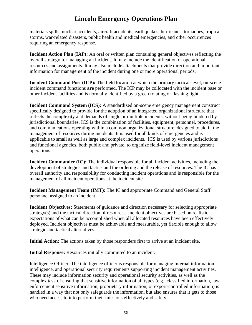materials spills, nuclear accidents, aircraft accidents, earthquakes, hurricanes, tornadoes, tropical storms, war-related disasters, public health and medical emergencies, and other occurrences requiring an emergency response.

**Incident Action Plan (IAP):** An oral or written plan containing general objectives reflecting the overall strategy for managing an incident. It may include the identification of operational resources and assignments. It may also include attachments that provide direction and important information for management of the incident during one or more operational periods.

**Incident Command Post (ICP):** The field location at which the primary tactical-level, on-scene incident command functions **are** performed. The ICP may be collocated with the incident base or other incident facilities and is normally identified by a green rotating or flashing light.

**Incident Command System (ICS):** A standardized on-scene emergency management construct specifically designed to provide for the adoption of an integrated organizational structure that reflects the complexity and demands of single or multiple incidents, without being hindered by jurisdictional boundaries. ICS is the combination of facilities, equipment, personnel, procedures, and communications operating within a common organizational structure, designed to aid in the management of resources during incidents. It is used for all kinds of emergencies and is applicable to small as well as large and complex incidents.ICS is used by various jurisdictions and functional agencies, both public and private, to organize field-level incident management operations.

**Incident Commander (IC):** The individual responsible for all incident activities, including the development of strategies and tactics and the ordering and the release of resources. The IC has overall authority and responsibility for conducting incident operations and is responsible for the management of all incident operations at the incident site.

**Incident Management Team (IMT):** The IC and appropriate Command and General Staff personnel assigned to an incident.

**Incident Objectives:** Statements of guidance and direction necessary for selecting appropriate strategy(s) and the tactical direction of resources. Incident objectives are based on realistic expectations of what can be accomplished when all allocated resources have been effectively deployed. Incident objectives must be achievable and measurable, yet flexible enough to allow strategic and tactical alternatives.

**Initial Action:** The actions taken by those responders first to arrive at an incident site.

**Initial Response:** Resources initially committed to an incident.

Intelligence Officer: The intelligence officer is responsible for managing internal information, intelligence, and operational security requirements supporting incident management activities. These may include information security and operational security activities, as well as the complex task of ensuring that sensitive information of all types (e.g., classified information, law enforcement sensitive information, proprietary information, or export-controlled information) is handled in a way that not only safeguards the information, but also ensures that it gets to those who need access to it to perform their missions effectively and safely.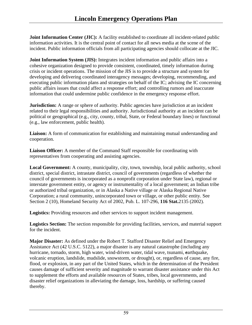**Joint Information Center (JIC):** A facility established to coordinate all incident-related public information activities. It is the central point of contact for all news media at the scene of the incident. Public information officials from all participating agencies should collocate at the JIC.

**Joint Information System (JIS):** Integrates incident information and public affairs into a cohesive organization designed to provide consistent, coordinated, timely information during crisis or incident operations. The mission of the JIS is to provide a structure and system for developing and delivering coordinated interagency messages; developing, recommending, and executing public information plans and strategies on behalf of the IC; advising the IC concerning public affairs issues that could affect a response effort; and controlling rumors and inaccurate information that could undermine public confidence in the emergency response effort.

**Jurisdiction:** A range or sphere of authority. Public agencies have jurisdiction at an incident related to their legal responsibilities and authority. Jurisdictional authority at an incident can be political or geographical (e.g., city, county, tribal, State, or Federal boundary lines) or functional (e.g., law enforcement, public health).

**Liaison:** A form of communication for establishing and maintaining mutual understanding and cooperation.

**Liaison Officer:** A member of the Command Staff responsible for coordinating with representatives from cooperating and assisting agencies.

**Local Government:** A county, municipality, city, town, township, local public authority, school district, special district, intrastate district, council of governments (regardless of whether the council of governments is incorporated as a nonprofit corporation under State law), regional or interstate government entity, or agency or instrumentality of a local government; an Indian tribe or authorized tribal organization, or in Alaska a Native village or Alaska Regional Native Corporation; a rural community, unincorporated town or village, or other public entity. See Section 2 (10), Homeland Security Act of 2002, Pub. L. 107-296, **116 Stat.**2135 (2002).

**Logistics:** Providing resources and other services to support incident management.

**Logistics Section:** The section responsible for providing facilities, services, and material support for the incident.

**Major Disaster:** As defined under the Robert T. Stafford Disaster Relief and Emergency Assistance Act (42 U.S.C. 5122), a major disaster is any natural catastrophe (including any hurricane, tornado, storm, high water, wind-driven water, tidal wave, tsunami, **e**arthquake, volcanic eruption, landslide, mudslide, snowstorm, or drought), or, regardless of cause, any fire, flood, or explosion, in any part of the United States, which in the determination of the President causes damage of sufficient severity and magnitude to warrant disaster assistance under this Act to supplement the efforts and available resources of States, tribes, local governments, and disaster relief organizations in alleviating the damage, loss, hardship, or suffering caused thereby.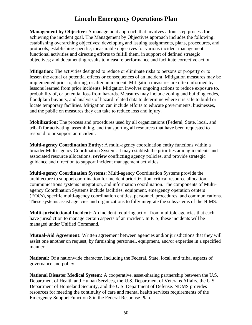**Management by Objective:** A management approach that involves a four-step process for achieving the incident goal. The Management by Objectives approach includes the following: establishing overarching objectives; developing and issuing assignments, plans, procedures, and protocols; establishing specific, measurable objectives for various incident management functional activities and directing efforts to fulfill them, in support of defined strategic objectives; and documenting results to measure performance and facilitate corrective action.

**Mitigation:** The activities designed to reduce or eliminate risks to persons or property or to lessen the actual or potential effects or consequences of an incident. Mitigation measures may be implemented prior to, during, or after an incident. Mitigation measures are often informed by lessons learned from prior incidents. Mitigation involves ongoing actions to reduce exposure to, probability of, or potential loss from hazards. Measures may include zoning and building codes, floodplain buyouts, and analysis of hazard related data to determine where it is safe to build or locate temporary facilities. Mitigation can include efforts to educate governments, businesses, and the public on measures they can take to reduce loss and injury.

**Mobilization:** The process and procedures used by all organizations (Federal, State, local, and tribal) for activating, assembling, and transporting all resources that have been requested to respond to or support an incident.

**Multi-agency Coordination Entity:** A multi-agency coordination entity functions within a broader Multi-agency Coordination System. It may establish the priorities among incidents and associated resource allocations, **review** conflict**ing** agency policies, and provide strategic guidance and direction to support incident management activities.

**Multi-agency Coordination Systems:** Multi-agency Coordination Systems provide the architecture to support coordination for incident prioritization, critical resource allocation, communications systems integration, and information coordination. The components of Multiagency Coordination Systems include facilities, equipment, emergency operation centers (EOCs), specific multi-agency coordination entities, personnel, procedures, and communications. These systems assist agencies and organizations to fully integrate the subsystems of the NIMS.

**Multi-jurisdictional Incident:** An incident requiring action from multiple agencies that each have jurisdiction to manage certain aspects of an incident. In ICS, these incidents will be managed under Unified Command.

**Mutual-Aid Agreement:** Written agreement between agencies and/or jurisdictions that they will assist one another on request, by furnishing personnel, equipment, and/or expertise in a specified manner.

**National:** Of a nationwide character, including the Federal, State, local, and tribal aspects of governance and policy.

**National Disaster Medical System:** A cooperative, asset-sharing partnership between the U.S. Department of Health and Human Services, the U.S. Department of Veterans Affairs, the U.S. Department of Homeland Security, and the U.S. Department of Defense. NDMS provides resources for meeting the continuity of care and mental health services requirements of the Emergency Support Function 8 in the Federal Response Plan.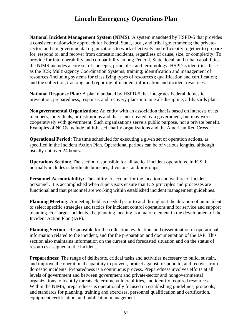**National Incident Management System (NIMS):** A system mandated by HSPD-5 that provides a consistent nationwide approach for Federal, State, local, and tribal governments; the privatesector, and nongovernmental organizations to work effectively and efficiently together to prepare for, respond to, and recover from domestic incidents, regardless of cause, size, or complexity. To provide for interoperability and compatibility among Federal, State, local, and tribal capabilities, the NIMS includes a core set of concepts, principles, and terminology. HSPD-5 identifies these as the ICS; Multi-agency Coordination Systems; training; identification and management of resources (including systems for classifying types of resources); qualification and certification; and the collection, tracking, and reporting of incident information and incident resources.

**National Response Plan:** A plan mandated by HSPD-5 that integrates Federal domestic prevention, preparedness, response, and recovery plans into one all-discipline, all-hazards plan.

**Nongovernmental Organization:** An entity with an association that is based on interests of its members, individuals, or institutions and that is not created by a government, but may work cooperatively with government. Such organizations serve a public purpose, not a private benefit. Examples of NGOs include faith-based charity organizations and the American Red Cross.

**Operational Period:** The time scheduled for executing a given set of operation actions, as specified in the Incident Action Plan. Operational periods can be of various lengths, **a**lthough usually not over 24 hours.

**Operations Section:** The section responsible for all tactical incident operations. In ICS, it normally includes subordinate branches, divisions, and/or groups.

**Personnel Accountability:** The ability to account for the location and welfare of incident personnel. It is accomplished when supervisors ensure that ICS principles and processes are functional and that personnel are working within established incident management guidelines.

**Planning Meeting:** A meeting held as needed prior to and throughout the duration of an incident to select specific strategies and tactics for incident control operations and for service and support planning. For larger incidents, the planning meeting is a major element in the development of the Incident Action Plan (IAP).

**Planning Section:** Responsible for the collection, evaluation, and dissemination of operational information related to the incident, and for the preparation and documentation of the IAP. This section also maintains information on the current and forecasted situation and on the status of resources assigned to the incident.

**Preparedness:** The range of deliberate, critical tasks and activities necessary to build, sustain, and improve the operational capability to prevent, protect against, respond to, and recover from domestic incidents. Preparedness is a continuous process. Preparedness involves efforts at all levels of government and between government and private-sector and nongovernmental organizations to identify threats, determine vulnerabilities, and identify required resources. Within the NIMS, preparedness is operationally focused on establishing guidelines, protocols, and standards for planning, training and exercises, personnel qualification and certification, equipment certification, and publication management.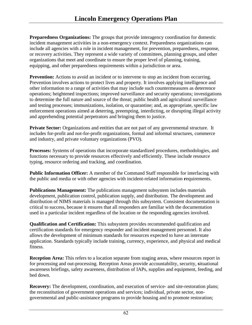**Preparedness Organizations:** The groups that provide interagency coordination for domestic incident management activities in a non-emergency context. Preparedness organizations can include all agencies with a role in incident management, for prevention, preparedness, response, or recovery activities. They represent a wide variety of committees, planning groups, and other organizations that meet and coordinate to ensure the proper level of planning, training, equipping, and other preparedness requirements within a jurisdiction or area.

**Prevention:** Actions to avoid an incident or to intervene to stop an incident from occurring. Prevention involves actions to protect lives and property. It involves applying intelligence and other information to a range of activities that may include such countermeasures as deterrence operations; heightened inspections; improved surveillance and security operations; investigations to determine the full nature and source of the threat; public health and agricultural surveillance and testing processes; immunizations, isolation, or quarantine; and, as appropriate, specific law enforcement operations aimed at deterring, preempting, interdicting, or disrupting illegal activity and apprehending potential perpetrators and bringing them to justice.

**Private Sector:** Organizations and entities that are not part of any governmental structure. It includes for-profit and not-for-profit organizations, formal and informal structures, commerce and industry, and private voluntary organizations (PVO).

**Processes:** Systems of operations that incorporate standardized procedures, methodologies, and functions necessary to provide resources effectively and efficiently. These include resource typing, resource ordering and tracking, and coordination.

**Public Information Officer:** A member of the Command Staff responsible for interfacing with the public and media or with other agencies with incident-related information **r**equirements.

**Publications Management:** The publications management subsystem includes materials development, publication control, publication supply, and distribution. The development and distribution of NIMS materials is managed through this subsystem. Consistent documentation is critical to success, because it ensures that all responders are familiar with the documentation used in a particular incident regardless of the location or the responding agencies involved.

**Qualification and Certification:** This subsystem provides recommended qualification and certification standards for emergency responder and incident management personnel. It also allows the development of minimum standards for resources expected to have an interstate application. Standards typically include training, currency, experience, and physical and medical fitness.

**Reception Area:** This refers to a location separate from staging areas, where resources report in for processing and out-processing. Reception Areas provide accountability, security, **s**ituational awareness briefings, safety awareness, distribution of IAPs, supplies and equipment, feeding, and bed down.

**Recovery:** The development, coordination, and execution of service- and site-restoration plans; the reconstitution of government operations and services; individual, private sector, nongovernmental and public-assistance programs to provide housing and to promote restoration;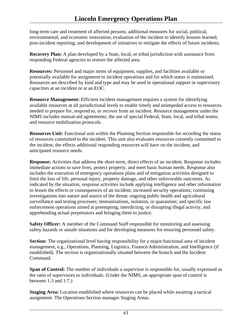long-term care and treatment of affected persons; additional measures for social, political, environmental, and economic restoration; evaluation of the incident to identify lessons learned; post-incident reporting; and development of initiatives to mitigate the effects of future incidents.

**Recovery Plan:** A plan developed by a State, local, or tribal jurisdiction with assistance from responding Federal agencies to restore the affected area.

**Resources:** Personnel and major items of equipment, supplies, and facilities available or potentially available for assignment to incident operations and for which status is maintained. Resources are described by kind and type and may be used in operational support or supervisory capacities at an incident or at an EOC.

**Resource Management:** Efficient incident management requires a system for identifying available resources at all jurisdictional levels to enable timely and unimpeded access to resources needed to prepare for, respond to, or recover from an incident. Resource management under the NIMS includes mutual-aid agreements; the use of special Federal, State, local, and tribal teams; and resource mobilization protocols.

**Resources Unit:** Functional unit within the Planning Section responsible for recording the status of resources committed to the incident. This unit also evaluates resources currently committed to the incident, the effects additional responding resources will have on the incident, and anticipated resource needs.

**Response:** Activities that address the short-term, direct effects of an incident. Response includes immediate actions to save lives, protect property, and meet basic human needs. Response also includes the execution of emergency operations plans and of mitigation activities designed to limit the loss of life, personal injury, property damage, and other unfavorable outcomes. As indicated by the situation, response activities include applying intelligence and other information to lessen the effects or consequences of an incident; increased security operations; continuing investigations into nature and source of the threat; ongoing public health and agricultural surveillance and testing processes; immunizations, isolation, or quarantine; and specific law enforcement operations aimed at preempting, interdicting, or disrupting illegal activity, and apprehending actual perpetrators and bringing them to justice.

**Safety Officer:** A member of the Command Staff responsible for monitoring and assessing safety hazards or unsafe situations and for developing measures for ensuring personnel safety.

**Section:** The organizational level having responsibility for a major functional area of incident management, e.g., Operations, Planning, Logistics, Finance/Administration, and Intelligence (if established). The section is organizationally situated between the branch and the Incident Command.

**Span of Control:** The number of individuals a supervisor is responsible for, usually expressed as the ratio of supervisors to individuals. (Under the NIMS, an appropriate span of control is between 1:3 and 1:7.)

**Staging Area:** Location established where resources can be placed while awaiting a tactical assignment. The Operations Section manages Staging Areas.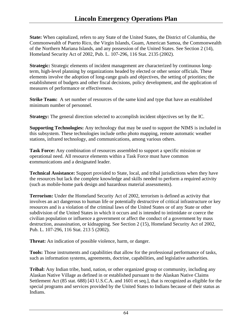**State:** When capitalized, refers to any State of the United States, the District of Columbia, the Commonwealth of Puerto Rico, the Virgin Islands, Guam, American Samoa, the Commonwealth of the Northern Mariana Islands, and any possession of the United States. See Section 2 (14), Homeland Security Act of 2002, Pub. L. 107-296, 116 Stat. 2135 (2002).

**Strategic:** Strategic elements of incident management are characterized by continuous longterm, high-level planning by organizations headed by elected or other senior officials. These elements involve the adoption of long-range goals and objectives, the setting of priorities; the establishment of budgets and other fiscal decisions, policy development, and the application of measures of performance or effectiveness.

**Strike Team:** A set number of resources of the same kind and type that have an established minimum number of personnel.

**Strategy:** The general direction selected to accomplish incident objectives set by the IC.

**Supporting Technologies:** Any technology that may be used to support the NIMS is included in this subsystem. These technologies include ortho photo mapping, remote automatic weather stations, infrared technology, and communications, among various others.

**Task Force:** Any combination of resources assembled to support a specific mission or operational need. All resource elements within a Task Force must have common **c**ommunications and a designated leader.

**Technical Assistance:** Support provided to State, local, and tribal jurisdictions when they have the resources but lack the complete knowledge and skills needed to perform a required activity (such as mobile-home park design and hazardous material assessments).

**Terrorism:** Under the Homeland Security Act of 2002, terrorism is defined as activity that involves an act dangerous to human life or potentially destructive of critical infrastructure or key resources and is a violation of the criminal laws of the United States or of any State or other subdivision of the United States in which it occurs and is intended to intimidate or coerce the civilian population or influence a government or affect the conduct of a government by mass destruction, assassination, or kidnapping. See Section 2 (15), Homeland Security Act of 2002, Pub. L. 107-296, 116 Stat. 213 5 (2002).

**Threat:** An indication of possible violence, harm, or danger.

**Tools:** Those instruments and capabilities that allow for the professional performance of tasks, such as information systems, agreements, doctrine, capabilities, and legislative authorities.

**Tribal:** Any Indian tribe, band, nation, or other organized group or community, including any Alaskan Native Village as defined in or established pursuant to the Alaskan Native Claims Settlement Act (85 stat. 688) [43 U.S.C.A. and 1601 et seq.], that is recognized as eligible for the special programs and services provided by the United States to Indians because of their status as Indians.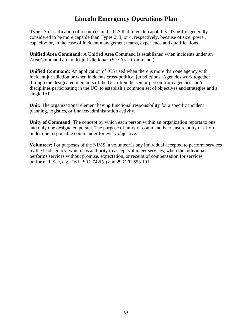**Type:** A classification of resources in the ICS that refers to capability. Type 1 is generally considered to be more capable than Types 2, 3, or 4, respectively, because of size; power; capacity; or, in the case of incident management teams, experience and qualifications.

**Unified Area Command:** A Unified Area Command is established when incidents under an Area Command are multi-jurisdictional. (See Area Command.)

**Unified Command:** An application of ICS used when there is more than one agency with incident jurisdiction or when incidents cross-political jurisdictions. Agencies work together through the designated members of the UC, often the senior person from agencies and/or disciplines participating in the UC, to establish a common set of objectives and strategies and a single IAP.

**Unit:** The organizational element having functional responsibility for a specific incident planning, logistics, or finance/administration activity.

**Unity of Command:** The concept by which each person within an organization reports to one and only one designated person. The purpose of unity of command is to ensure unity of effort under one responsible commander for every objective.

**Volunteer:** For purposes of the NIMS, a volunteer is any individual accepted to perform services by the lead agency, which has authority to accept volunteer services, when the individual performs services without promise, expectation, or receipt of compensation for services performed. See, e.g., 16 U.S.C. 742f(c) and 29 CFR 553.101.